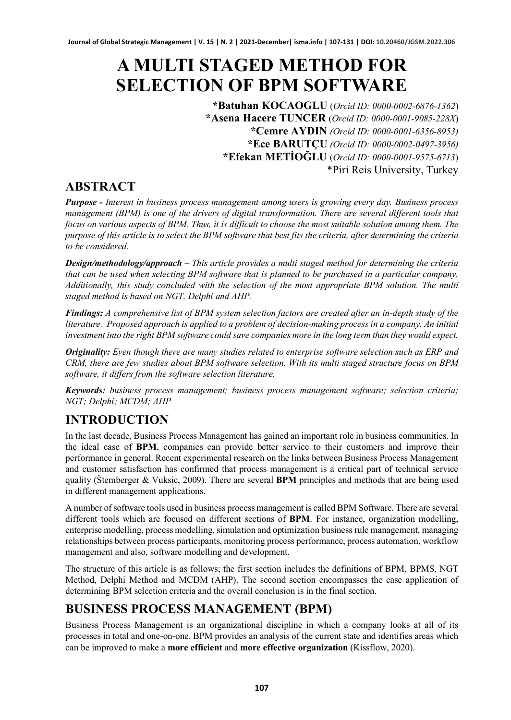# **A MULTI STAGED METHOD FOR SELECTION OF BPM SOFTWARE**

**\*Batuhan KOCAOGLU** (*Orcid ID: 0000-0002-6876-1362*) **\*Asena Hacere TUNCER** (*Orcid ID: 0000-0001-9085-228X*) **\*Cemre AYDIN** *(Orcid ID: 0000-0001-6356-8953)* **\*Ece BARUTÇU** *(Orcid ID: 0000-0002-0497-3956)* **\*Efekan METİOĞLU** (*Orcid ID: 0000-0001-9575-6713*) \*Piri Reis University, Turkey

### **ABSTRACT**

*Purpose - Interest in business process management among users is growing every day. Business process management (BPM) is one of the drivers of digital transformation. There are several different tools that focus on various aspects of BPM. Thus, it is difficult to choose the most suitable solution among them. The purpose of this article is to select the BPM software that best fits the criteria, after determining the criteria to be considered.*

*Design/methodology/approach – This article provides a multi staged method for determining the criteria that can be used when selecting BPM software that is planned to be purchased in a particular company. Additionally, this study concluded with the selection of the most appropriate BPM solution. The multi staged method is based on NGT, Delphi and AHP.* 

*Findings: A comprehensive list of BPM system selection factors are created after an in-depth study of the literature. Proposed approach is applied to a problem of decision-making process in a company. An initial investment into the right BPM software could save companies more in the long term than they would expect.*

*Originality: Even though there are many studies related to enterprise software selection such as ERP and CRM, there are few studies about BPM software selection. With its multi staged structure focus on BPM software, it differs from the software selection literature.*

*Keywords: business process management; business process management software; selection criteria; NGT; Delphi; MCDM; AHP*

# **INTRODUCTION**

In the last decade, Business Process Management has gained an important role in business communities. In the ideal case of **BPM**, companies can provide better service to their customers and improve their performance in general. Recent experimental research on the links between Business Process Management and customer satisfaction has confirmed that process management is a critical part of technical service quality (Štemberger & Vuksic, 2009). There are several **BPM** principles and methods that are being used in different management applications.

A number of software tools used in business process management is called BPM Software. There are several different tools which are focused on different sections of **BPM**. For instance, organization modelling, enterprise modelling, process modelling, simulation and optimization business rule management, managing relationships between process participants, monitoring process performance, process automation, workflow management and also, software modelling and development.

The structure of this article is as follows; the first section includes the definitions of BPM, BPMS, NGT Method, Delphi Method and MCDM (AHP). The second section encompasses the case application of determining BPM selection criteria and the overall conclusion is in the final section.

### **BUSINESS PROCESS MANAGEMENT (BPM)**

Business Process Management is an organizational discipline in which a company looks at all of its processes in total and one-on-one. BPM provides an analysis of the current state and identifies areas which can be improved to make a **more efficient** and **more effective organization** (Kissflow, 2020).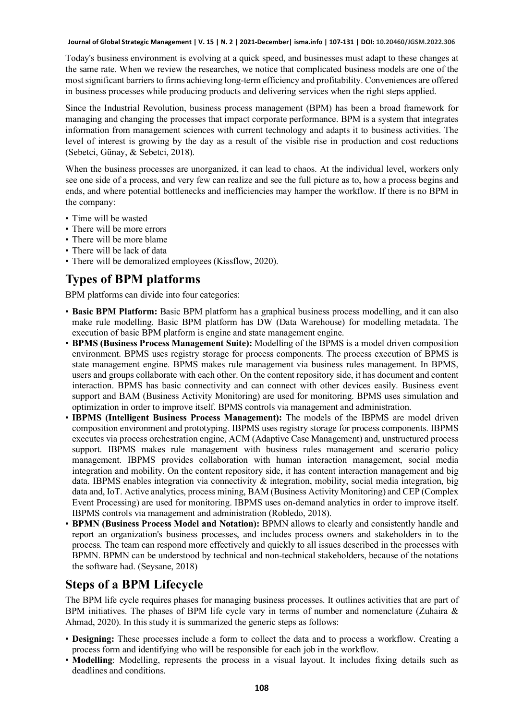Today's business environment is evolving at a quick speed, and businesses must adapt to these changes at the same rate. When we review the researches, we notice that complicated business models are one of the most significant barriers to firms achieving long-term efficiency and profitability. Conveniences are offered in business processes while producing products and delivering services when the right steps applied.

Since the Industrial Revolution, business process management (BPM) has been a broad framework for managing and changing the processes that impact corporate performance. BPM is a system that integrates information from management sciences with current technology and adapts it to business activities. The level of interest is growing by the day as a result of the visible rise in production and cost reductions (Sebetci, Günay, & Sebetci, 2018).

When the business processes are unorganized, it can lead to chaos. At the individual level, workers only see one side of a process, and very few can realize and see the full picture as to, how a process begins and ends, and where potential bottlenecks and inefficiencies may hamper the workflow. If there is no BPM in the company:

- Time will be wasted
- There will be more errors
- There will be more blame
- There will be lack of data
- There will be demoralized employees (Kissflow, 2020).

## **Types of BPM platforms**

BPM platforms can divide into four categories:

- **Basic BPM Platform:** Basic BPM platform has a graphical business process modelling, and it can also make rule modelling. Basic BPM platform has DW (Data Warehouse) for modelling metadata. The execution of basic BPM platform is engine and state management engine.
- **BPMS (Business Process Management Suite):** Modelling of the BPMS is a model driven composition environment. BPMS uses registry storage for process components. The process execution of BPMS is state management engine. BPMS makes rule management via business rules management. In BPMS, users and groups collaborate with each other. On the content repository side, it has document and content interaction. BPMS has basic connectivity and can connect with other devices easily. Business event support and BAM (Business Activity Monitoring) are used for monitoring. BPMS uses simulation and optimization in order to improve itself. BPMS controls via management and administration.
- **IBPMS (Intelligent Business Process Management):** The models of the IBPMS are model driven composition environment and prototyping. IBPMS uses registry storage for process components. IBPMS executes via process orchestration engine, ACM (Adaptive Case Management) and, unstructured process support. IBPMS makes rule management with business rules management and scenario policy management. IBPMS provides collaboration with human interaction management, social media integration and mobility. On the content repository side, it has content interaction management and big data. IBPMS enables integration via connectivity & integration, mobility, social media integration, big data and, IoT. Active analytics, process mining, BAM (Business Activity Monitoring) and CEP (Complex Event Processing) are used for monitoring. IBPMS uses on-demand analytics in order to improve itself. IBPMS controls via management and administration (Robledo, 2018).
- **BPMN (Business Process Model and Notation):** BPMN allows to clearly and consistently handle and report an organization's business processes, and includes process owners and stakeholders in to the process. The team can respond more effectively and quickly to all issues described in the processes with BPMN. BPMN can be understood by technical and non-technical stakeholders, because of the notations the software had. (Seysane, 2018)

### **Steps of a BPM Lifecycle**

The BPM life cycle requires phases for managing business processes. It outlines activities that are part of BPM initiatives. The phases of BPM life cycle vary in terms of number and nomenclature (Zuhaira & Ahmad, 2020). In this study it is summarized the generic steps as follows:

- **Designing:** These processes include a form to collect the data and to process a workflow. Creating a process form and identifying who will be responsible for each job in the workflow.
- **Modelling**: Modelling, represents the process in a visual layout. It includes fixing details such as deadlines and conditions.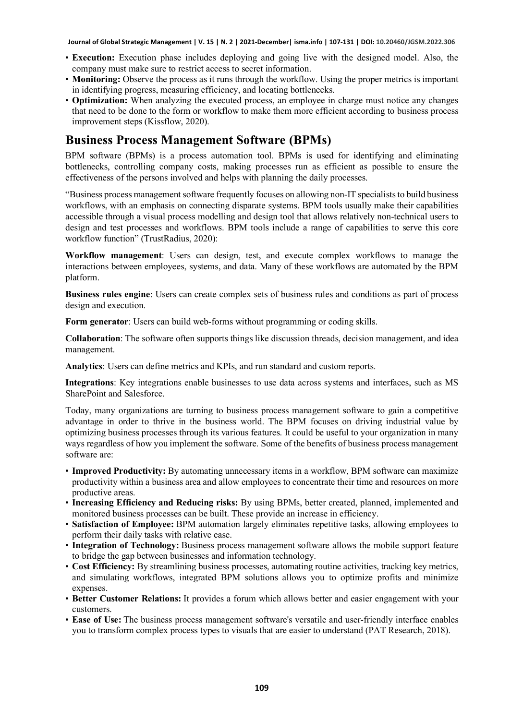- **Execution:** Execution phase includes deploying and going live with the designed model. Also, the company must make sure to restrict access to secret information.
- **Monitoring:** Observe the process as it runs through the workflow. Using the proper metrics is important in identifying progress, measuring efficiency, and locating bottlenecks.
- **Optimization:** When analyzing the executed process, an employee in charge must notice any changes that need to be done to the form or workflow to make them more efficient according to business process improvement steps (Kissflow, 2020).

#### **Business Process Management Software (BPMs)**

BPM software (BPMs) is a process automation tool. BPMs is used for identifying and eliminating bottlenecks, controlling company costs, making processes run as efficient as possible to ensure the effectiveness of the persons involved and helps with planning the daily processes.

"Business process management software frequently focuses on allowing non-IT specialists to build business workflows, with an emphasis on connecting disparate systems. BPM tools usually make their capabilities accessible through a visual process modelling and design tool that allows relatively non-technical users to design and test processes and workflows. BPM tools include a range of capabilities to serve this core workflow function" (TrustRadius, 2020):

**Workflow management**: Users can design, test, and execute complex workflows to manage the interactions between employees, systems, and data. Many of these workflows are automated by the BPM platform.

**Business rules engine**: Users can create complex sets of business rules and conditions as part of process design and execution.

**Form generator**: Users can build web-forms without programming or coding skills.

**Collaboration**: The software often supports things like discussion threads, decision management, and idea management.

**Analytics**: Users can define metrics and KPIs, and run standard and custom reports.

**Integrations**: Key integrations enable businesses to use data across systems and interfaces, such as MS SharePoint and Salesforce.

Today, many organizations are turning to business process management software to gain a competitive advantage in order to thrive in the business world. The BPM focuses on driving industrial value by optimizing business processes through its various features. It could be useful to your organization in many ways regardless of how you implement the software. Some of the benefits of business process management software are:

- **Improved Productivity:** By automating unnecessary items in a workflow, BPM software can maximize productivity within a business area and allow employees to concentrate their time and resources on more productive areas.
- **Increasing Efficiency and Reducing risks:** By using BPMs, better created, planned, implemented and monitored business processes can be built. These provide an increase in efficiency.
- **Satisfaction of Employee:** BPM automation largely eliminates repetitive tasks, allowing employees to perform their daily tasks with relative ease.
- **Integration of Technology:** Business process management software allows the mobile support feature to bridge the gap between businesses and information technology.
- **Cost Efficiency:** By streamlining business processes, automating routine activities, tracking key metrics, and simulating workflows, integrated BPM solutions allows you to optimize profits and minimize expenses.
- **Better Customer Relations:** It provides a forum which allows better and easier engagement with your customers.
- **Ease of Use:** The business process management software's versatile and user-friendly interface enables you to transform complex process types to visuals that are easier to understand (PAT Research, 2018).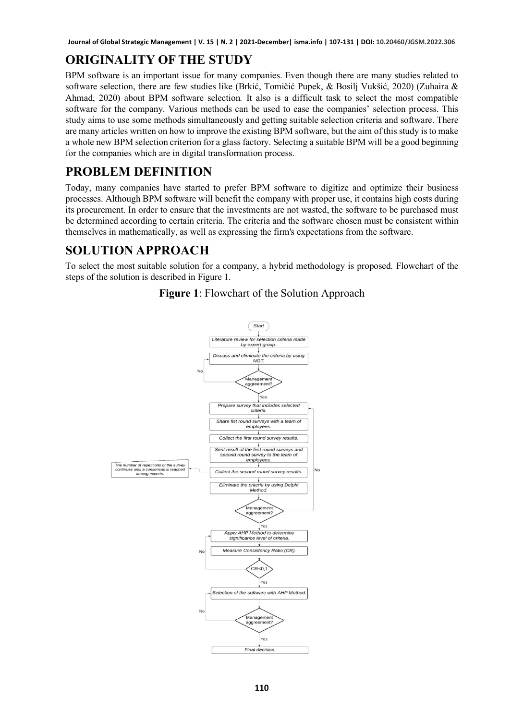# **ORIGINALITY OF THE STUDY**

BPM software is an important issue for many companies. Even though there are many studies related to software selection, there are few studies like (Brkić, Tomičić Pupek, & Bosilj Vukšić, 2020) (Zuhaira & Ahmad, 2020) about BPM software selection*.* It also is a difficult task to select the most compatible software for the company. Various methods can be used to ease the companies' selection process. This study aims to use some methods simultaneously and getting suitable selection criteria and software. There are many articles written on how to improve the existing BPM software, but the aim of this study is to make a whole new BPM selection criterion for a glass factory. Selecting a suitable BPM will be a good beginning for the companies which are in digital transformation process.

# **PROBLEM DEFINITION**

Today, many companies have started to prefer BPM software to digitize and optimize their business processes. Although BPM software will benefit the company with proper use, it contains high costs during its procurement. In order to ensure that the investments are not wasted, the software to be purchased must be determined according to certain criteria. The criteria and the software chosen must be consistent within themselves in mathematically, as well as expressing the firm's expectations from the software.

## **SOLUTION APPROACH**

To select the most suitable solution for a company, a hybrid methodology is proposed. Flowchart of the steps of the solution is described in Figure 1.



**Figure 1**: Flowchart of the Solution Approach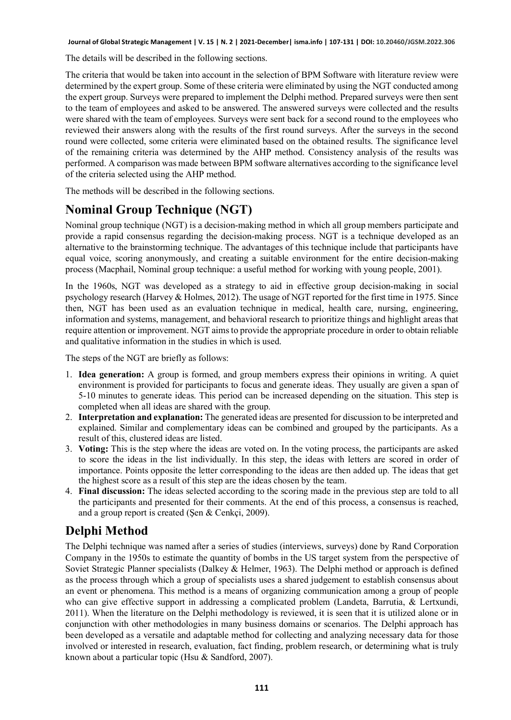The details will be described in the following sections.

The criteria that would be taken into account in the selection of BPM Software with literature review were determined by the expert group. Some of these criteria were eliminated by using the NGT conducted among the expert group. Surveys were prepared to implement the Delphi method. Prepared surveys were then sent to the team of employees and asked to be answered. The answered surveys were collected and the results were shared with the team of employees. Surveys were sent back for a second round to the employees who reviewed their answers along with the results of the first round surveys. After the surveys in the second round were collected, some criteria were eliminated based on the obtained results. The significance level of the remaining criteria was determined by the AHP method. Consistency analysis of the results was performed. A comparison was made between BPM software alternatives according to the significance level of the criteria selected using the AHP method.

The methods will be described in the following sections.

# **Nominal Group Technique (NGT)**

Nominal group technique (NGT) is a decision-making method in which all group members participate and provide a rapid consensus regarding the decision-making process. NGT is a technique developed as an alternative to the brainstorming technique. The advantages of this technique include that participants have equal voice, scoring anonymously, and creating a suitable environment for the entire decision-making process (Macphail, Nominal group technique: a useful method for working with young people, 2001).

In the 1960s, NGT was developed as a strategy to aid in effective group decision-making in social psychology research (Harvey & Holmes, 2012). The usage of NGT reported for the first time in 1975. Since then, NGT has been used as an evaluation technique in medical, health care, nursing, engineering, information and systems, management, and behavioral research to prioritize things and highlight areas that require attention or improvement. NGT aims to provide the appropriate procedure in order to obtain reliable and qualitative information in the studies in which is used.

The steps of the NGT are briefly as follows:

- 1. **Idea generation:** A group is formed, and group members express their opinions in writing. A quiet environment is provided for participants to focus and generate ideas. They usually are given a span of 5-10 minutes to generate ideas. This period can be increased depending on the situation. This step is completed when all ideas are shared with the group.
- 2. **Interpretation and explanation:** The generated ideas are presented for discussion to be interpreted and explained. Similar and complementary ideas can be combined and grouped by the participants. As a result of this, clustered ideas are listed.
- 3. **Voting:** This is the step where the ideas are voted on. In the voting process, the participants are asked to score the ideas in the list individually. In this step, the ideas with letters are scored in order of importance. Points opposite the letter corresponding to the ideas are then added up. The ideas that get the highest score as a result of this step are the ideas chosen by the team.
- 4. **Final discussion:** The ideas selected according to the scoring made in the previous step are told to all the participants and presented for their comments. At the end of this process, a consensus is reached, and a group report is created (Şen & Cenkçi, 2009).

### **Delphi Method**

The Delphi technique was named after a series of studies (interviews, surveys) done by Rand Corporation Company in the 1950s to estimate the quantity of bombs in the US target system from the perspective of Soviet Strategic Planner specialists (Dalkey & Helmer, 1963). The Delphi method or approach is defined as the process through which a group of specialists uses a shared judgement to establish consensus about an event or phenomena. This method is a means of organizing communication among a group of people who can give effective support in addressing a complicated problem (Landeta, Barrutia, & Lertxundi, 2011). When the literature on the Delphi methodology is reviewed, it is seen that it is utilized alone or in conjunction with other methodologies in many business domains or scenarios. The Delphi approach has been developed as a versatile and adaptable method for collecting and analyzing necessary data for those involved or interested in research, evaluation, fact finding, problem research, or determining what is truly known about a particular topic (Hsu & Sandford, 2007).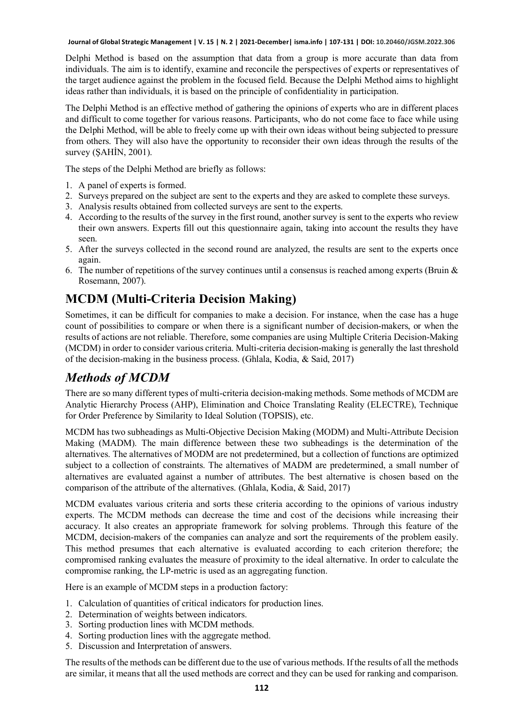Delphi Method is based on the assumption that data from a group is more accurate than data from individuals. The aim is to identify, examine and reconcile the perspectives of experts or representatives of the target audience against the problem in the focused field. Because the Delphi Method aims to highlight ideas rather than individuals, it is based on the principle of confidentiality in participation.

The Delphi Method is an effective method of gathering the opinions of experts who are in different places and difficult to come together for various reasons. Participants, who do not come face to face while using the Delphi Method, will be able to freely come up with their own ideas without being subjected to pressure from others. They will also have the opportunity to reconsider their own ideas through the results of the survey (ŞAHİN, 2001).

The steps of the Delphi Method are briefly as follows:

- 1. A panel of experts is formed.
- 2. Surveys prepared on the subject are sent to the experts and they are asked to complete these surveys.
- 3. Analysis results obtained from collected surveys are sent to the experts.
- 4. According to the results of the survey in the first round, another survey is sent to the experts who review their own answers. Experts fill out this questionnaire again, taking into account the results they have seen.
- 5. After the surveys collected in the second round are analyzed, the results are sent to the experts once again.
- 6. The number of repetitions of the survey continues until a consensus is reached among experts (Bruin & Rosemann, 2007).

### **MCDM (Multi-Criteria Decision Making)**

Sometimes, it can be difficult for companies to make a decision. For instance, when the case has a huge count of possibilities to compare or when there is a significant number of decision-makers, or when the results of actions are not reliable. Therefore, some companies are using Multiple Criteria Decision-Making (MCDM) in order to consider various criteria. Multi-criteria decision-making is generally the last threshold of the decision-making in the business process. (Ghlala, Kodia, & Said, 2017)

#### *Methods of MCDM*

There are so many different types of multi-criteria decision-making methods. Some methods of MCDM are Analytic Hierarchy Process (AHP), Elimination and Choice Translating Reality (ELECTRE), Technique for Order Preference by Similarity to Ideal Solution (TOPSIS), etc.

MCDM has two subheadings as Multi-Objective Decision Making (MODM) and Multi-Attribute Decision Making (MADM). The main difference between these two subheadings is the determination of the alternatives. The alternatives of MODM are not predetermined, but a collection of functions are optimized subject to a collection of constraints. The alternatives of MADM are predetermined, a small number of alternatives are evaluated against a number of attributes. The best alternative is chosen based on the comparison of the attribute of the alternatives. (Ghlala, Kodia, & Said, 2017)

MCDM evaluates various criteria and sorts these criteria according to the opinions of various industry experts. The MCDM methods can decrease the time and cost of the decisions while increasing their accuracy. It also creates an appropriate framework for solving problems. Through this feature of the MCDM, decision-makers of the companies can analyze and sort the requirements of the problem easily. This method presumes that each alternative is evaluated according to each criterion therefore; the compromised ranking evaluates the measure of proximity to the ideal alternative. In order to calculate the compromise ranking, the LP-metric is used as an aggregating function.

Here is an example of MCDM steps in a production factory:

- 1. Calculation of quantities of critical indicators for production lines.
- 2. Determination of weights between indicators.
- 3. Sorting production lines with MCDM methods.
- 4. Sorting production lines with the aggregate method.
- 5. Discussion and Interpretation of answers.

The results of the methods can be different due to the use of various methods. If the results of all the methods are similar, it means that all the used methods are correct and they can be used for ranking and comparison.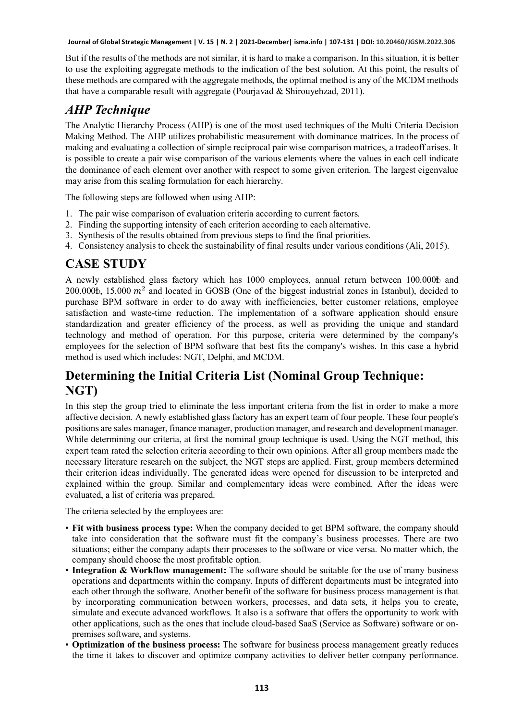But if the results of the methods are not similar, it is hard to make a comparison. In this situation, it is better to use the exploiting aggregate methods to the indication of the best solution. At this point, the results of these methods are compared with the aggregate methods, the optimal method is any of the MCDM methods that have a comparable result with aggregate (Pourjavad & Shirouyehzad, 2011).

### *AHP Technique*

The Analytic Hierarchy Process (AHP) is one of the most used techniques of the Multi Criteria Decision Making Method. The AHP utilizes probabilistic measurement with dominance matrices. In the process of making and evaluating a collection of simple reciprocal pair wise comparison matrices, a tradeoff arises. It is possible to create a pair wise comparison of the various elements where the values in each cell indicate the dominance of each element over another with respect to some given criterion. The largest eigenvalue may arise from this scaling formulation for each hierarchy.

The following steps are followed when using AHP:

- 1. The pair wise comparison of evaluation criteria according to current factors.
- 2. Finding the supporting intensity of each criterion according to each alternative.
- 3. Synthesis of the results obtained from previous steps to find the final priorities.
- 4. Consistency analysis to check the sustainability of final results under various conditions (Ali, 2015).

#### **CASE STUDY**

A newly established glass factory which has 1000 employees, annual return between 100.000₺ and 200.000 $\bar{t}$ , 15.000  $m^2$  and located in GOSB (One of the biggest industrial zones in Istanbul), decided to purchase BPM software in order to do away with inefficiencies, better customer relations, employee satisfaction and waste-time reduction. The implementation of a software application should ensure standardization and greater efficiency of the process, as well as providing the unique and standard technology and method of operation. For this purpose, criteria were determined by the company's employees for the selection of BPM software that best fits the company's wishes. In this case a hybrid method is used which includes: NGT, Delphi, and MCDM.

### **Determining the Initial Criteria List (Nominal Group Technique: NGT)**

In this step the group tried to eliminate the less important criteria from the list in order to make a more affective decision. A newly established glass factory has an expert team of four people. These four people's positions are sales manager, finance manager, production manager, and research and development manager. While determining our criteria, at first the nominal group technique is used. Using the NGT method, this expert team rated the selection criteria according to their own opinions. After all group members made the necessary literature research on the subject, the NGT steps are applied. First, group members determined their criterion ideas individually. The generated ideas were opened for discussion to be interpreted and explained within the group. Similar and complementary ideas were combined. After the ideas were evaluated, a list of criteria was prepared.

The criteria selected by the employees are:

- **Fit with business process type:** When the company decided to get BPM software, the company should take into consideration that the software must fit the company's business processes. There are two situations; either the company adapts their processes to the software or vice versa. No matter which, the company should choose the most profitable option.
- **Integration & Workflow management:** The software should be suitable for the use of many business operations and departments within the company. Inputs of different departments must be integrated into each other through the software. Another benefit of the software for business process management is that by incorporating communication between workers, processes, and data sets, it helps you to create, simulate and execute advanced workflows. It also is a software that offers the opportunity to work with other applications, such as the ones that include cloud-based SaaS (Service as Software) software or onpremises software, and systems.
- **Optimization of the business process:** The software for business process management greatly reduces the time it takes to discover and optimize company activities to deliver better company performance.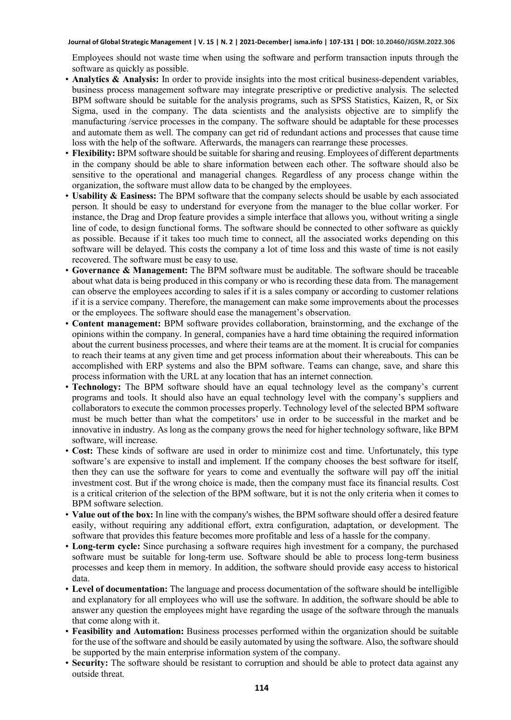Employees should not waste time when using the software and perform transaction inputs through the software as quickly as possible.

- **Analytics & Analysis:** In order to provide insights into the most critical business-dependent variables, business process management software may integrate prescriptive or predictive analysis. The selected BPM software should be suitable for the analysis programs, such as SPSS Statistics, Kaizen, R, or Six Sigma, used in the company. The data scientists and the analysists objective are to simplify the manufacturing /service processes in the company. The software should be adaptable for these processes and automate them as well. The company can get rid of redundant actions and processes that cause time loss with the help of the software. Afterwards, the managers can rearrange these processes.
- **Flexibility:** BPM software should be suitable for sharing and reusing. Employees of different departments in the company should be able to share information between each other. The software should also be sensitive to the operational and managerial changes. Regardless of any process change within the organization, the software must allow data to be changed by the employees.
- **Usability & Easiness:** The BPM software that the company selects should be usable by each associated person. It should be easy to understand for everyone from the manager to the blue collar worker. For instance, the Drag and Drop feature provides a simple interface that allows you, without writing a single line of code, to design functional forms. The software should be connected to other software as quickly as possible. Because if it takes too much time to connect, all the associated works depending on this software will be delayed. This costs the company a lot of time loss and this waste of time is not easily recovered. The software must be easy to use.
- **Governance & Management:** The BPM software must be auditable. The software should be traceable about what data is being produced in this company or who is recording these data from. The management can observe the employees according to sales if it is a sales company or according to customer relations if it is a service company. Therefore, the management can make some improvements about the processes or the employees. The software should ease the management's observation.
- **Content management:** BPM software provides collaboration, brainstorming, and the exchange of the opinions within the company. In general, companies have a hard time obtaining the required information about the current business processes, and where their teams are at the moment. It is crucial for companies to reach their teams at any given time and get process information about their whereabouts. This can be accomplished with ERP systems and also the BPM software. Teams can change, save, and share this process information with the URL at any location that has an internet connection.
- **Technology:** The BPM software should have an equal technology level as the company's current programs and tools. It should also have an equal technology level with the company's suppliers and collaborators to execute the common processes properly. Technology level of the selected BPM software must be much better than what the competitors' use in order to be successful in the market and be innovative in industry. As long as the company grows the need for higher technology software, like BPM software, will increase.
- **Cost:** These kinds of software are used in order to minimize cost and time. Unfortunately, this type software's are expensive to install and implement. If the company chooses the best software for itself, then they can use the software for years to come and eventually the software will pay off the initial investment cost. But if the wrong choice is made, then the company must face its financial results. Cost is a critical criterion of the selection of the BPM software, but it is not the only criteria when it comes to BPM software selection.
- **Value out of the box:** In line with the company's wishes, the BPM software should offer a desired feature easily, without requiring any additional effort, extra configuration, adaptation, or development. The software that provides this feature becomes more profitable and less of a hassle for the company.
- **Long-term cycle:** Since purchasing a software requires high investment for a company, the purchased software must be suitable for long-term use. Software should be able to process long-term business processes and keep them in memory. In addition, the software should provide easy access to historical data.
- **Level of documentation:** The language and process documentation of the software should be intelligible and explanatory for all employees who will use the software. In addition, the software should be able to answer any question the employees might have regarding the usage of the software through the manuals that come along with it.
- **Feasibility and Automation:** Business processes performed within the organization should be suitable for the use of the software and should be easily automated by using the software. Also, the software should be supported by the main enterprise information system of the company.
- **Security:** The software should be resistant to corruption and should be able to protect data against any outside threat.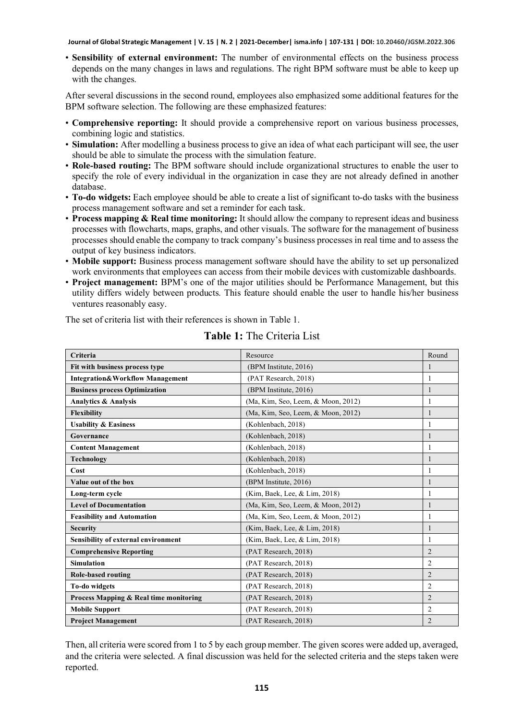• **Sensibility of external environment:** The number of environmental effects on the business process depends on the many changes in laws and regulations. The right BPM software must be able to keep up with the changes.

After several discussions in the second round, employees also emphasized some additional features for the BPM software selection. The following are these emphasized features:

- **Comprehensive reporting:** It should provide a comprehensive report on various business processes, combining logic and statistics.
- **Simulation:** After modelling a business process to give an idea of what each participant will see, the user should be able to simulate the process with the simulation feature.
- **Role-based routing:** The BPM software should include organizational structures to enable the user to specify the role of every individual in the organization in case they are not already defined in another database.
- **To-do widgets:** Each employee should be able to create a list of significant to-do tasks with the business process management software and set a reminder for each task.
- **Process mapping & Real time monitoring:** It should allow the company to represent ideas and business processes with flowcharts, maps, graphs, and other visuals. The software for the management of business processes should enable the company to track company's business processes in real time and to assess the output of key business indicators.
- **Mobile support:** Business process management software should have the ability to set up personalized work environments that employees can access from their mobile devices with customizable dashboards.
- **Project management:** BPM's one of the major utilities should be Performance Management, but this utility differs widely between products. This feature should enable the user to handle his/her business ventures reasonably easy.

The set of criteria list with their references is shown in Table 1.

| Criteria                                   | Resource                           | Round          |
|--------------------------------------------|------------------------------------|----------------|
| Fit with business process type             | (BPM Institute, 2016)              |                |
| <b>Integration&amp;Workflow Management</b> | (PAT Research, 2018)               | 1              |
| <b>Business process Optimization</b>       | (BPM Institute, 2016)              | 1              |
| <b>Analytics &amp; Analysis</b>            | (Ma, Kim, Seo, Leem, & Moon, 2012) | 1              |
| <b>Flexibility</b>                         | (Ma, Kim, Seo, Leem, & Moon, 2012) |                |
| <b>Usability &amp; Easiness</b>            | (Kohlenbach, 2018)                 |                |
| Governance                                 | (Kohlenbach, 2018)                 |                |
| <b>Content Management</b>                  | (Kohlenbach, 2018)                 | 1              |
| Technology                                 | (Kohlenbach, 2018)                 |                |
| Cost                                       | (Kohlenbach, 2018)                 | 1              |
| Value out of the box                       | (BPM Institute, 2016)              | 1              |
| Long-term cycle                            | (Kim, Baek, Lee, & Lim, 2018)      | 1              |
| <b>Level of Documentation</b>              | (Ma, Kim, Seo, Leem, & Moon, 2012) |                |
| <b>Feasibility and Automation</b>          | (Ma, Kim, Seo, Leem, & Moon, 2012) |                |
| <b>Security</b>                            | (Kim, Baek, Lee, & Lim, 2018)      |                |
| Sensibility of external environment        | (Kim, Baek, Lee, & Lim, 2018)      | 1              |
| <b>Comprehensive Reporting</b>             | (PAT Research, 2018)               | $\overline{2}$ |
| <b>Simulation</b>                          | (PAT Research, 2018)               | 2              |
| Role-based routing                         | (PAT Research, 2018)               | $\overline{2}$ |
| To-do widgets                              | (PAT Research, 2018)               | 2              |
| Process Mapping & Real time monitoring     | (PAT Research, 2018)               | $\overline{2}$ |
| <b>Mobile Support</b>                      | (PAT Research, 2018)               | 2              |
| <b>Project Management</b>                  | (PAT Research, 2018)               | $\overline{2}$ |

**Table 1:** The Criteria List

Then, all criteria were scored from 1 to 5 by each group member. The given scores were added up, averaged, and the criteria were selected. A final discussion was held for the selected criteria and the steps taken were reported.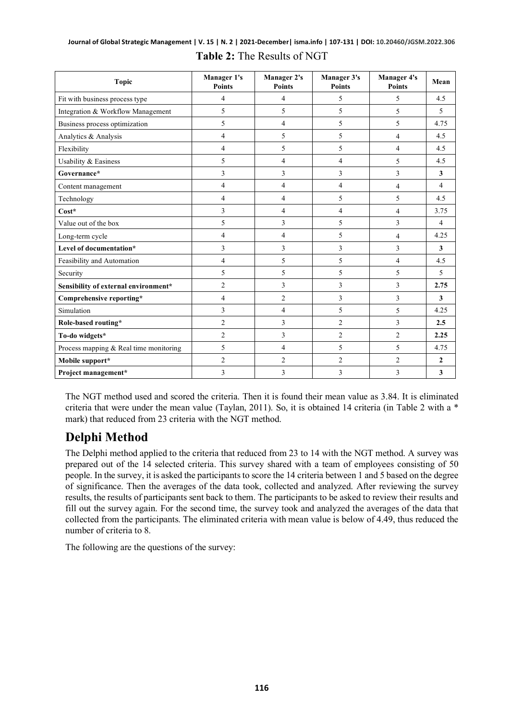| <b>Topic</b>                           | <b>Manager 1's</b><br><b>Points</b> | <b>Manager 2's</b><br><b>Points</b> | <b>Manager 3's</b><br><b>Points</b> | <b>Manager 4's</b><br><b>Points</b> | Mean           |
|----------------------------------------|-------------------------------------|-------------------------------------|-------------------------------------|-------------------------------------|----------------|
| Fit with business process type         | 4                                   | 4                                   | 5                                   | 5                                   | 4.5            |
| Integration & Workflow Management      | 5                                   | 5                                   | 5                                   | 5                                   | 5              |
| Business process optimization          | 5                                   | $\overline{4}$                      | 5                                   | 5                                   | 4.75           |
| Analytics & Analysis                   | 4                                   | 5                                   | 5                                   | $\overline{4}$                      | 4.5            |
| Flexibility                            | 4                                   | 5                                   | 5                                   | $\overline{4}$                      | 4.5            |
| Usability & Easiness                   | 5                                   | $\overline{4}$                      | 4                                   | 5                                   | 4.5            |
| Governance*                            | 3                                   | 3                                   | 3                                   | 3                                   | 3              |
| Content management                     | 4                                   | 4                                   | 4                                   | $\overline{4}$                      | $\overline{4}$ |
| Technology                             | 4                                   | 4                                   | 5                                   | 5                                   | 4.5            |
| $Cost*$                                | 3                                   | $\overline{4}$                      | 4                                   | $\overline{4}$                      | 3.75           |
| Value out of the box                   | 5                                   | 3                                   | 5                                   | 3                                   | $\overline{4}$ |
| Long-term cycle                        | 4                                   | $\overline{4}$                      | 5                                   | 4                                   | 4.25           |
| Level of documentation*                | 3                                   | 3                                   | 3                                   | 3                                   | 3              |
| Feasibility and Automation             | 4                                   | 5                                   | 5                                   | $\overline{4}$                      | 4.5            |
| Security                               | 5                                   | 5                                   | 5                                   | 5                                   | $\overline{5}$ |
| Sensibility of external environment*   | $\overline{c}$                      | 3                                   | 3                                   | 3                                   | 2.75           |
| Comprehensive reporting*               | 4                                   | $\overline{2}$                      | 3                                   | 3                                   | 3              |
| Simulation                             | 3                                   | 4                                   | 5                                   | 5                                   | 4.25           |
| Role-based routing*                    | $\overline{c}$                      | 3                                   | $\overline{c}$                      | 3                                   | 2.5            |
| To-do widgets*                         | $\overline{c}$                      | 3                                   | $\overline{c}$                      | 2                                   | 2.25           |
| Process mapping & Real time monitoring | 5                                   | 4                                   | 5                                   | 5                                   | 4.75           |
| Mobile support*                        | $\overline{c}$                      | $\overline{2}$                      | $\overline{c}$                      | 2                                   | $\mathbf{2}$   |
| Project management*                    | 3                                   | 3                                   | 3                                   | 3                                   | $\mathbf{3}$   |

#### **Journal of Global Strategic Management | V. 15 | N. 2 | 2021-December| isma.info | 107-131 | DOI: 10.20460/JGSM.2022.306 Table 2:** The Results of NGT

The NGT method used and scored the criteria. Then it is found their mean value as 3.84. It is eliminated criteria that were under the mean value (Taylan, 2011). So, it is obtained 14 criteria (in Table 2 with a \* mark) that reduced from 23 criteria with the NGT method.

### **Delphi Method**

The Delphi method applied to the criteria that reduced from 23 to 14 with the NGT method. A survey was prepared out of the 14 selected criteria. This survey shared with a team of employees consisting of 50 people. In the survey, it is asked the participants to score the 14 criteria between 1 and 5 based on the degree of significance. Then the averages of the data took, collected and analyzed. After reviewing the survey results, the results of participants sent back to them. The participants to be asked to review their results and fill out the survey again. For the second time, the survey took and analyzed the averages of the data that collected from the participants. The eliminated criteria with mean value is below of 4.49, thus reduced the number of criteria to 8.

The following are the questions of the survey: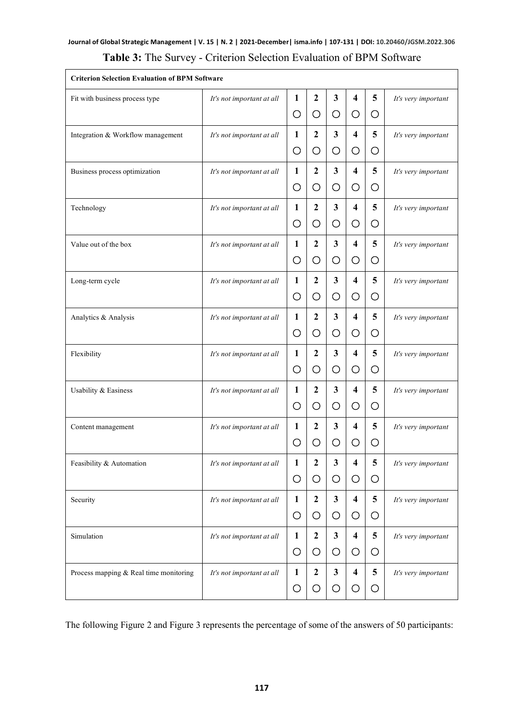#### **Journal of Global Strategic Management | V. 15 | N. 2 | 2021-December| isma.info | 107-131 | DOI: 10.20460/JGSM.2022.306 Table 3:** The Survey - Criterion Selection Evaluation of BPM Software

| <b>Criterion Selection Evaluation of BPM Software</b> |                           |              |                |                         |                         |                |                     |
|-------------------------------------------------------|---------------------------|--------------|----------------|-------------------------|-------------------------|----------------|---------------------|
| Fit with business process type                        | It's not important at all | 1            | $\mathbf{2}$   | $\mathbf{3}$            | $\overline{\mathbf{4}}$ | 5              | It's very important |
|                                                       |                           | O            | O              | O                       | O                       | О              |                     |
| Integration & Workflow management                     | It's not important at all | $\mathbf{1}$ | $\mathbf{2}$   | $\mathbf{3}$            | 4                       | 5              | It's very important |
|                                                       |                           | O            | O              | O                       | $\bigcirc$              | О              |                     |
| Business process optimization                         | It's not important at all | 1            | $\mathbf{2}$   | $\mathbf{3}$            | $\overline{\mathbf{4}}$ | 5              | It's very important |
|                                                       |                           | O            | O              | O                       | O                       | O              |                     |
| Technology                                            | It's not important at all | 1            | $\overline{2}$ | 3                       | 4                       | 5              | It's very important |
|                                                       |                           | O            | O              | $\circ$                 | O                       | O              |                     |
| Value out of the box                                  | It's not important at all | 1            | $\overline{2}$ | $\mathbf{3}$            | $\overline{\mathbf{4}}$ | 5              | It's very important |
|                                                       |                           | O            | O              | O                       | O                       | О              |                     |
| Long-term cycle                                       | It's not important at all | 1            | $\mathbf{2}$   | 3                       | $\overline{\mathbf{4}}$ | 5              | It's very important |
|                                                       |                           | O            | O              | O                       | O                       | О              |                     |
| Analytics & Analysis                                  | It's not important at all | 1            | $\mathbf{2}$   | $\mathbf{3}$            | $\overline{\mathbf{4}}$ | 5              | It's very important |
|                                                       |                           | O            | О              | O                       | O                       | О              |                     |
| Flexibility                                           | It's not important at all | 1            | $\overline{2}$ | $\mathbf{3}$            | $\overline{\mathbf{4}}$ | 5              | It's very important |
|                                                       |                           | O            | O              | O                       | O                       | О              |                     |
| Usability & Easiness                                  | It's not important at all | 1            | $\mathbf{2}$   | $\mathbf{3}$            | $\overline{\mathbf{4}}$ | 5              | It's very important |
|                                                       |                           | O            | O              | O                       | O                       | O              |                     |
| Content management                                    | It's not important at all | $\mathbf{1}$ | $\mathbf{2}$   | 3                       | 4                       | 5              | It's very important |
|                                                       |                           | O            | O              | O                       | O                       | О              |                     |
| Feasibility & Automation                              | It's not important at all | 1            | $\overline{2}$ | 3                       | $\overline{\mathbf{4}}$ | 5              | It's very important |
|                                                       |                           | O            | O              | O                       | O                       | O              |                     |
| Security                                              | It's not important at all | 1            | $\mathbf{2}$   | $\overline{\mathbf{3}}$ | $\overline{\mathbf{4}}$ | 5 <sup>5</sup> | It's very important |
|                                                       |                           | O            | O              | $\circ$                 | O                       | О              |                     |
| Simulation                                            | It's not important at all | $\mathbf{1}$ | $\mathbf{2}$   | $\mathbf{3}$            | $\overline{\mathbf{4}}$ | 5              | It's very important |
|                                                       |                           | $\circ$      | O              | O                       | O                       | O              |                     |
| Process mapping & Real time monitoring                | It's not important at all | $\mathbf{1}$ | $\mathbf{2}$   | $\mathbf{3}$            | $\overline{\mathbf{4}}$ | 5              | It's very important |
|                                                       |                           | O            | O              | O                       | О                       | O              |                     |

The following Figure 2 and Figure 3 represents the percentage of some of the answers of 50 participants: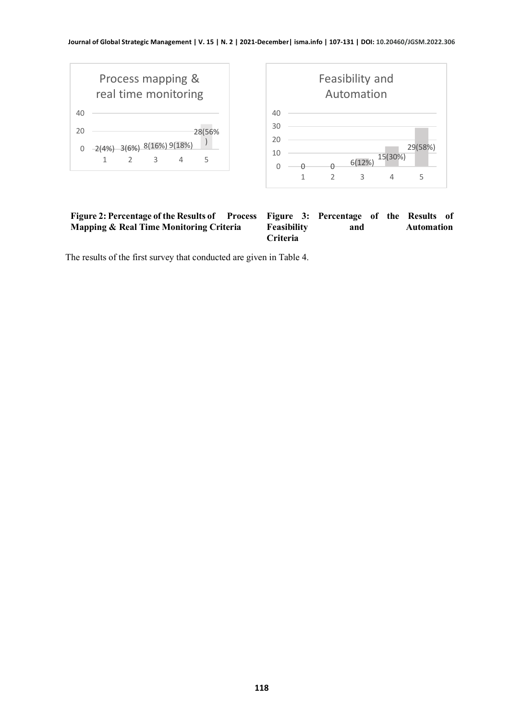

| Figure 2: Percentage of the Results of Process Figure 3: Percentage of the Results of |                    |     |  |                   |  |
|---------------------------------------------------------------------------------------|--------------------|-----|--|-------------------|--|
| <b>Mapping &amp; Real Time Monitoring Criteria</b>                                    | <b>Feasibility</b> | and |  | <b>Automation</b> |  |
|                                                                                       | <b>Criteria</b>    |     |  |                   |  |

The results of the first survey that conducted are given in Table 4.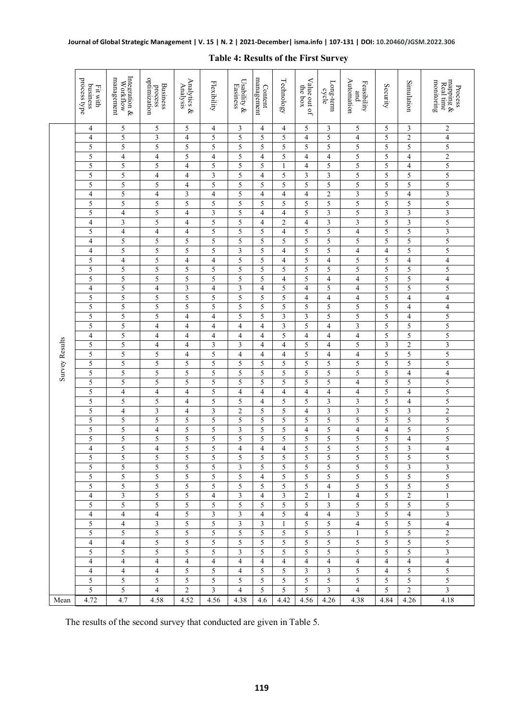|                | process type<br>business<br>Fit with | Integration &<br>management<br>Workflow | optimization<br><b>Business</b><br>process | Analytics &<br>Analysis      | Flexibility    | Usability &<br>Easiness | management<br>Content | Technology          | Value out of<br>the box | Long-term<br>cycle            | Automation<br>Feasibility<br>and           | Security       | Simulation          | mapping $\&$ Real time<br>montoring<br>Process |
|----------------|--------------------------------------|-----------------------------------------|--------------------------------------------|------------------------------|----------------|-------------------------|-----------------------|---------------------|-------------------------|-------------------------------|--------------------------------------------|----------------|---------------------|------------------------------------------------|
|                | 4                                    | 5                                       | 5                                          | 5                            | 4              | 3                       | 4                     | 4                   | 5                       | 3                             | 5                                          | 5              | 3                   | 2                                              |
|                | 4                                    | 5                                       | 3                                          | 4                            | 5              | 5                       | 5                     | 5                   | 4                       | 5                             | $\overline{4}$                             | 5              | $\boldsymbol{2}$    | 4                                              |
|                | 5                                    | 5                                       | 5                                          | 5                            | 5              | 5                       | 5                     | 5                   | 5                       | 5                             | 5                                          | 5              | 5                   | 5                                              |
|                | 5                                    | $\overline{4}$                          | $\overline{4}$                             | 5                            | 4              | 5                       | $\overline{4}$        | 5                   | 4                       | 4                             | 5                                          | 5              | $\overline{4}$      | $\overline{2}$                                 |
|                | 5                                    | 5                                       | 5                                          | $\overline{\mathbf{4}}$      | 5              | 5                       | 5                     | 1                   | 4                       | 5                             | $\overline{5}$                             | 5              | $\overline{4}$      | 5                                              |
|                | 5                                    | 5                                       | $\overline{4}$                             | $\overline{4}$               | 3              | 5                       | 4                     | 5                   | 3                       | 3                             | 5                                          | 5              | 5                   | 5                                              |
|                | 5                                    | 5                                       | 5                                          | $\overline{4}$               | 5              | 5                       | 5                     | 5                   | 5                       | 5                             | 5                                          | 5              | 5                   | 5                                              |
|                | $\overline{4}$                       | 5                                       | $\overline{\mathbf{4}}$                    | 3                            | 4              | 5                       | 4                     | $\overline{4}$      | $\overline{4}$          | $\mathfrak{2}$                | $\overline{\mathbf{3}}$                    | 5              | $\overline{4}$      | $\overline{\mathbf{3}}$                        |
|                | 5                                    | 5                                       | 5                                          | 5                            | 5              | 5                       | 5                     | 5                   | 5                       | 5                             | 5                                          | 5              | 5                   | 5                                              |
|                | 5                                    | $\overline{4}$                          | 5                                          | $\overline{4}$               | 3              | 5                       | 4                     | $\overline{4}$      | 5                       | 3                             | 5                                          | 3              | 3                   | $\overline{\mathbf{3}}$                        |
|                | 4                                    | 3                                       | 5                                          | $\overline{4}$               | 5              | 5                       | 4                     | 2                   | 4                       | 3                             | 3                                          | 5              | 3                   | 5                                              |
|                | 5                                    | 4                                       | 4                                          | $\overline{4}$               | 5              | 5                       | 5                     | $\overline{4}$      | 5                       | 5                             | $\overline{4}$                             | 5              | 5                   | $\overline{\mathbf{3}}$                        |
|                | $\overline{\mathcal{A}}$             | 5                                       | 5                                          | 5                            | 5              | 5                       | 5                     | 5                   | 5                       | 5                             | 5                                          | 5              | 5                   | 5                                              |
|                | $\overline{4}$                       | 5                                       | 5                                          | 5                            | 5              | 3<br>5                  | 5                     | 4                   | 5<br>5                  | 5                             | $\overline{\mathcal{L}}$<br>$\overline{5}$ | $\overline{4}$ | 5                   | 5                                              |
|                | 5<br>5                               | $\overline{4}$<br>5                     | 5<br>5                                     | $\overline{\mathbf{4}}$<br>5 | 4<br>5         | 5                       | 5<br>5                | 4<br>5              | 5                       | $\overline{\mathcal{L}}$<br>5 | 5                                          | 5<br>5         | $\overline{4}$<br>5 | $\overline{4}$<br>5                            |
|                | 5                                    | 5                                       | 5                                          | 5                            | 5              | 5                       | 5                     | 4                   | 5                       | $\overline{4}$                | $\overline{4}$                             | 5              | 5                   | $\overline{\mathcal{L}}$                       |
|                | $\overline{4}$                       | 5                                       | 4                                          | 3                            | 4              | $\mathfrak{Z}$          | 4                     | 5                   | 4                       | 5                             | $\overline{4}$                             | 5              | 5                   | 5                                              |
|                | 5                                    | 5                                       | 5                                          | 5                            | 5              | 5                       | 5                     | 5                   | 4                       | 4                             | $\overline{4}$                             | 5              | $\overline{4}$      | $\overline{\mathcal{L}}$                       |
|                | 5                                    | 5                                       | 5                                          | 5                            | 5              | 5                       | 5                     | 5                   | 5                       | 5                             | 5                                          | 5              | 4                   | 4                                              |
|                | 5                                    | 5                                       | 5                                          | $\overline{4}$               | 4              | 5                       | 5                     | 3                   | 3                       | 5                             | 5                                          | 5              | $\overline{4}$      | 5                                              |
|                | 5                                    | 5                                       | 4                                          | 4                            | 4              | $\overline{4}$          | 4                     | 3                   | 5                       | 4                             | $\overline{\mathbf{3}}$                    | 5              | 5                   | 5                                              |
|                | 4                                    | 5                                       | $\overline{4}$                             | $\overline{4}$               | 4              | $\overline{4}$          | 4                     | 5                   | $\overline{4}$          | $\overline{4}$                | $\overline{\mathbf{4}}$                    | 5              | 5                   | 5                                              |
|                | 5                                    | 5                                       | $\overline{4}$                             | $\overline{4}$               | 3              | $\overline{3}$          | $\overline{4}$        | 4                   | 5                       | 4                             | 5                                          | 3              | $\overline{2}$      | $\overline{\mathbf{3}}$                        |
|                | 5                                    | 5                                       | 5                                          | $\overline{4}$               | 5              | $\overline{4}$          | 4                     | 4                   | 5                       | 4                             | $\overline{4}$                             | 5              | 5                   | 5                                              |
| Survey Results | 5                                    | 5                                       | 5                                          | 5                            | 5              | 5                       | 5                     | 5                   | 5                       | 5                             | 5                                          | 5              | 5                   | 5                                              |
|                | 5                                    | 5                                       | 5                                          | 5                            | 5              | 5                       | 5                     | 5                   | 5                       | 5                             | 5                                          | 5              | $\overline{4}$      | $\overline{\mathcal{L}}$                       |
|                | 5                                    | 5                                       | 5                                          | 5                            | 5              | 5                       | 5                     | 5                   | 5                       | 5                             | $\overline{\mathbf{4}}$                    | 5              | 5                   | 5                                              |
|                | 5                                    | $\overline{4}$                          | 4                                          | 4                            | 5              | $\overline{4}$          | 4                     | 4                   | 4                       | 4                             | $\overline{4}$                             | 5              | 4                   | 5                                              |
|                | 5                                    | 5                                       | 5                                          | 4                            | 5              | 5                       | 4                     | 5                   | 5                       | 3                             | 3                                          | 5              | 4                   | 5                                              |
|                | 5                                    | $\overline{4}$                          | 3                                          | 4                            | 3              | $\overline{2}$          | 5                     | 5                   | 4                       | 3                             | 3                                          | 5              | 3                   | $\overline{c}$                                 |
|                | 5                                    | 5                                       | 5                                          | 5                            | 5              | 5                       | 5                     | 5                   | 5                       | 5                             | 5                                          | 5              | 5                   | 5                                              |
|                | 5                                    | 5                                       | $\overline{4}$                             | 5                            | 5              | 3                       | 5                     | 5                   | $\overline{4}$          | 5                             | $\overline{\mathbf{4}}$                    | $\overline{4}$ | 5                   | 5                                              |
|                | 5                                    | 5<br>5                                  | 5                                          | 5                            | 5              | 5<br>$\overline{4}$     | 5                     | 5                   | 5                       | 5                             | 5<br>$\overline{5}$                        | 5<br>5         | $\overline{4}$      | 5                                              |
|                | $\overline{4}$<br>5                  | 5                                       | $\overline{\mathcal{L}}$<br>5              | 5<br>5                       | 5<br>5         | 5                       | $\overline{4}$<br>5   | $\overline{4}$<br>5 | 5<br>5                  | 5<br>5                        | 5                                          | 5              | 3<br>5              | $\overline{\mathcal{L}}$<br>5                  |
|                | 5                                    | 5                                       | 5                                          | 5                            | 5              | 3                       | 5                     | 5                   | 5                       | 5                             | 5                                          | 5              | 3                   | $\overline{\mathbf{3}}$                        |
|                | 5                                    | 5                                       | 5                                          | 5                            | 5              | 5                       | $\overline{4}$        | 5                   | 5                       | 5                             | 5                                          | 5              | 5                   | 5                                              |
|                | 5                                    | 5                                       | 5                                          | 5                            | 5              | 5                       | 5                     | 5                   | 5                       | 4                             | 5                                          | 5              | 5                   | 5                                              |
|                | $\overline{4}$                       | $\mathfrak{Z}$                          | 5                                          | 5                            | $\overline{4}$ | 3                       | $\overline{4}$        | $\mathfrak{Z}$      | $\overline{2}$          | $\mathbf{1}$                  | $\overline{4}$                             | $\overline{5}$ | 2                   | $\mathbf{1}$                                   |
|                | 5                                    | $\overline{5}$                          | 5                                          | 5                            | 5              | 5                       | $\overline{5}$        | $\overline{5}$      | $\overline{5}$          | $\overline{3}$                | 5                                          | $\overline{5}$ | $\overline{5}$      | 5                                              |
|                | $\overline{4}$                       | $\overline{4}$                          | $\overline{4}$                             | $\sqrt{5}$                   | $\mathfrak{Z}$ | $\mathfrak{Z}$          | $\overline{4}$        | $\sqrt{5}$          | $\overline{4}$          | 4                             | $\mathfrak{Z}$                             | 5              | $\overline{4}$      | 3                                              |
|                | 5                                    | $\overline{4}$                          | $\mathfrak{Z}$                             | $\sqrt{5}$                   | $\sqrt{5}$     | $\mathfrak{Z}$          | $\overline{3}$        | $\mathbf{1}$        | 5                       | 5                             | 4                                          | 5              | 5 <sup>5</sup>      | $\overline{4}$                                 |
|                | 5                                    | $\overline{5}$                          | 5                                          | $\overline{5}$               | 5              | 5                       | 5                     | 5                   | $\overline{5}$          | 5                             | $\mathbf{1}$                               | $\overline{5}$ | $\overline{5}$      | $\overline{2}$                                 |
|                | $\overline{4}$                       | $\overline{4}$                          | 5                                          | 5                            | 5              | 5                       | 5                     | 5                   | 5                       | 5                             | 5                                          | 5              | 5                   | 5                                              |
|                | 5                                    | 5                                       | 5                                          | 5                            | 5              | 3                       | 5                     | 5                   | 5                       | 5                             | 5                                          | 5              | 5                   | 3                                              |
|                | $\overline{4}$                       | $\overline{4}$                          | $\overline{4}$                             | 4                            | $\overline{4}$ | $\overline{4}$          | $\overline{4}$        | $\overline{4}$      | $\overline{4}$          | 4                             | 4                                          | $\overline{4}$ | $\overline{4}$      | $\overline{4}$                                 |
|                | $\overline{4}$                       | $\overline{4}$                          | $\overline{4}$                             | 5                            | 5              | $\overline{4}$          | 5                     | 5                   | $\mathfrak{Z}$          | $\overline{3}$                | 5                                          | $\overline{4}$ | 5                   | $\overline{5}$                                 |
|                | 5                                    | 5                                       | 5                                          | 5                            | 5              | 5                       | 5                     | 5                   | 5                       | 5                             | 5                                          | 5              | 5 <sup>5</sup>      | 5                                              |
|                | 5                                    | 5                                       | $\overline{4}$                             | 2                            | 3              | $\overline{4}$          | 5                     | 5                   | 5                       | 3                             | $\overline{4}$                             | 5              | $\overline{2}$      | $\mathfrak{Z}$                                 |
| Mean           | 4.72                                 | 4.7                                     | 4.58                                       | 4.52                         | 4.56           | 4.38                    | 4.6                   | 4.42                | 4.56                    | 4.26                          | 4.38                                       | 4.84           | 4.26                | 4.18                                           |

#### **Table 4: Results of the First Survey**

The results of the second survey that conducted are given in Table 5.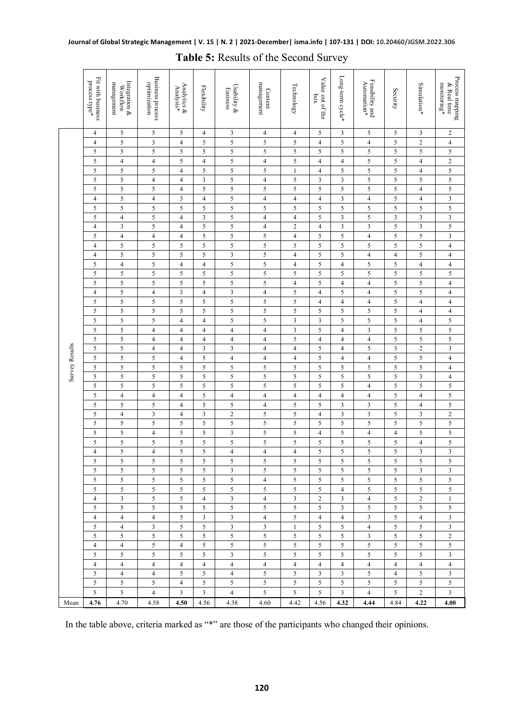|                | Fit with business<br>$\mathop{\rm process}\nolimits$ type* | Integration &<br>management<br><b>Workflow</b> | <b>Business process</b><br>optimization | Analytics &<br>Analysis* | Flexibility    | Usability &<br>Easiness | management<br>Content   | Technology              | Value out of the<br>$x$ oq | Long-term cycle* | Feasibility and<br>$\mbox{Automation}^*$ | Security                    | Simulation*             | Process mapping<br>$\mathrm{monitoring}^*$<br>$\&$ Real time |
|----------------|------------------------------------------------------------|------------------------------------------------|-----------------------------------------|--------------------------|----------------|-------------------------|-------------------------|-------------------------|----------------------------|------------------|------------------------------------------|-----------------------------|-------------------------|--------------------------------------------------------------|
|                | $\overline{4}$                                             | 5                                              | 5                                       | 5                        | $\overline{4}$ | 3                       | $\overline{4}$          | $\overline{4}$          | 5                          | $\mathfrak{Z}$   | 5                                        | 5                           | 3                       | $\overline{2}$                                               |
|                | $\overline{4}$                                             | $\mathfrak s$                                  | $\mathfrak z$                           | $\overline{4}$           | 5              | 5                       | 5                       | $\mathfrak s$           | $\overline{4}$             | 5                | $\overline{4}$                           | $\mathfrak s$               | $\overline{c}$          | $\overline{4}$                                               |
|                | 5                                                          | 5                                              | 5                                       | 5                        | 5              | 5                       | 5                       | 5                       | 5                          | 5                | 5                                        | $\sqrt{5}$                  | 5                       | 5                                                            |
|                | 5                                                          | $\overline{4}$                                 | $\overline{4}$                          | 5                        | $\overline{4}$ | $\mathfrak s$           | $\overline{\mathbf{4}}$ | 5                       | $\overline{4}$             | $\overline{4}$   | 5                                        | $\sqrt{5}$                  | $\overline{4}$          | $\sqrt{2}$                                                   |
|                | 5                                                          | 5                                              | 5                                       | 4                        | 5              | $\overline{\mathbf{5}}$ | 5                       | $\mathbf{1}$            | $\overline{4}$             | 5                | 5                                        | $\sqrt{5}$                  | $\overline{4}$          | $\sqrt{5}$                                                   |
|                | 5                                                          | 5                                              | $\overline{4}$                          | $\overline{4}$           | 3              | 5                       | $\overline{\mathbf{4}}$ | 5                       | 3                          | 3                | 5                                        | $\mathfrak s$               | 5                       | 5                                                            |
|                | 5                                                          | 5                                              | $\sqrt{5}$                              | $\overline{4}$           | $\sqrt{5}$     | $\overline{\mathbf{5}}$ | 5                       | 5                       | $\sqrt{5}$                 | $\sqrt{5}$       | 5                                        | $\sqrt{5}$                  | $\overline{\mathbf{4}}$ | 5                                                            |
|                | $\overline{4}$                                             | $\mathfrak s$                                  | $\overline{4}$                          | 3                        | $\overline{4}$ | 5                       | $\overline{\mathbf{4}}$ | $\overline{4}$          | $\overline{4}$             | $\mathfrak z$    | $\overline{4}$                           | $\mathfrak s$               | $\overline{4}$          | $\ensuremath{\mathfrak{Z}}$                                  |
|                | 5                                                          | 5                                              | $\sqrt{5}$                              | 5                        | 5              | 5                       | 5                       | 5                       | 5                          | 5                | 5                                        | $\mathfrak s$               | 5                       | $\overline{\mathbf{5}}$                                      |
|                | 5                                                          | $\overline{\mathbf{4}}$                        | $\mathfrak s$                           | $\overline{\mathbf{4}}$  | 3              | $\overline{\mathbf{5}}$ | $\overline{\mathbf{4}}$ | $\overline{4}$          | 5                          | $\mathfrak z$    | 5                                        | $\overline{\mathbf{3}}$     | 3                       | $\overline{\mathbf{3}}$                                      |
|                | $\overline{4}$                                             | 3                                              | $\sqrt{5}$                              | 4                        | 5              | 5                       | $\overline{\mathbf{4}}$ | $\sqrt{2}$              | $\overline{4}$             | $\mathfrak{Z}$   | 3                                        | $\sqrt{5}$                  | 3                       | 5                                                            |
|                | 5                                                          | $\overline{4}$                                 | $\overline{4}$                          | $\overline{4}$           | $\sqrt{5}$     | 5                       | 5                       | $\overline{4}$          | 5                          | 5                | $\overline{4}$                           | $\sqrt{5}$                  | 5                       | $\mathbf{3}$                                                 |
|                | $\overline{4}$                                             | 5                                              | $\mathfrak s$                           | 5                        | 5              | 5                       | 5                       | 5                       | 5                          | 5                | 5                                        | $\mathfrak s$               | 5                       | $\overline{4}$                                               |
|                | $\overline{4}$                                             | 5                                              | $\mathfrak s$                           | 5                        | $\sqrt{5}$     | $\overline{\mathbf{3}}$ | $\overline{\mathbf{5}}$ | $\overline{4}$          | 5                          | 5                | $\overline{4}$                           | $\overline{4}$              | 5                       | $\overline{4}$                                               |
|                | 5                                                          | $\overline{4}$                                 | $\sqrt{5}$                              | 4                        | $\overline{4}$ | 5                       | $\sqrt{5}$              | $\overline{4}$          | 5                          | $\overline{4}$   | 5                                        | $\sqrt{5}$                  | 4                       | $\overline{4}$                                               |
|                | 5                                                          | 5                                              | $\mathfrak s$                           | 5                        | 5              | 5                       | 5                       | 5                       | 5                          | 5                | 5                                        | $\mathfrak s$               | 5                       | 5                                                            |
|                | 5                                                          | 5                                              | $\sqrt{5}$                              | 5                        | 5              | 5                       | 5                       | $\overline{4}$          | 5                          | $\overline{4}$   | $\overline{4}$                           | $\sqrt{5}$                  | 5                       | $\overline{4}$                                               |
|                | $\overline{4}$                                             | 5                                              | $\overline{4}$                          | 3                        | $\overline{4}$ | $\overline{\mathbf{3}}$ | $\overline{\mathbf{4}}$ | 5                       | $\overline{4}$             | 5                | $\overline{4}$                           | $\sqrt{5}$                  | 5                       | $\overline{4}$                                               |
|                | 5                                                          | 5                                              | $\sqrt{5}$                              | 5                        | 5              | 5                       | 5                       | 5                       | $\overline{4}$             | $\overline{4}$   | $\overline{4}$                           | $\mathfrak s$               | $\overline{4}$          | $\overline{4}$                                               |
|                | 5                                                          | $\mathfrak s$                                  | $\mathfrak s$                           | 5                        | $\sqrt{5}$     | $\overline{\mathbf{5}}$ | 5                       | 5                       | $\sqrt{5}$                 | $\sqrt{5}$       | 5                                        | $\sqrt{5}$                  | $\overline{4}$          | $\overline{4}$                                               |
|                | 5                                                          | $\mathfrak s$                                  | $\mathfrak s$                           | $\overline{\mathbf{4}}$  | $\overline{4}$ | $\mathfrak s$           | $\sqrt{5}$              | 3                       | $\mathfrak z$              | 5                | 5                                        | $\mathfrak s$               | $\overline{4}$          | $\sqrt{5}$                                                   |
|                | 5                                                          | 5                                              | $\overline{4}$                          | $\overline{4}$           | $\overline{4}$ | $\overline{4}$          | $\overline{4}$          | $\overline{\mathbf{3}}$ | 5                          | $\overline{4}$   | 3                                        | 5                           | 5                       | 5                                                            |
|                | 5                                                          | 5                                              | $\overline{4}$                          | 4                        | $\overline{4}$ | $\overline{\mathbf{4}}$ | $\overline{\mathbf{4}}$ | 5                       | $\overline{4}$             | $\overline{4}$   | $\overline{4}$                           | 5                           | 5                       | 5                                                            |
|                | 5                                                          | 5                                              | $\overline{4}$                          | 4                        | 3              | 3                       | $\overline{\mathbf{4}}$ | $\overline{\mathbf{4}}$ | 5                          | $\overline{4}$   | 5                                        | $\ensuremath{\mathfrak{Z}}$ | $\overline{c}$          | $\sqrt{3}$                                                   |
|                | 5                                                          | 5                                              | 5                                       | $\overline{4}$           | 5              | $\overline{\mathbf{4}}$ | $\overline{4}$          | $\overline{4}$          | 5                          | $\overline{4}$   | $\overline{4}$                           | $\sqrt{5}$                  | 5                       | $\overline{4}$                                               |
| Survey Results | 5                                                          | $\overline{5}$                                 | 5                                       | 5                        | 5              | 5                       | 5                       | 5                       | 5                          | 5                | 5                                        | $\mathfrak s$               | 5                       | $\overline{4}$                                               |
|                | 5                                                          | 5                                              | $\sqrt{5}$                              | 5                        | 5              | 5                       | $\mathfrak s$           | 5                       | 5                          | 5                | 5                                        | 5                           | 3                       | $\overline{4}$                                               |
|                | 5                                                          | $\mathfrak s$                                  | $\sqrt{5}$                              | 5                        | 5              | $\mathfrak s$           | $\sqrt{5}$              | 5                       | 5                          | 5                | $\overline{4}$                           | $\sqrt{5}$                  | 5                       | $\sqrt{5}$                                                   |
|                | 5                                                          | $\overline{4}$                                 | $\overline{4}$                          | $\overline{4}$           | 5              | $\overline{4}$          | $\overline{\mathbf{4}}$ | $\overline{4}$          | $\overline{4}$             | $\overline{4}$   | $\overline{4}$                           | $\mathfrak s$               | $\overline{4}$          | 5                                                            |
|                | 5                                                          | 5                                              | $\sqrt{5}$                              | $\overline{4}$           | 5              | 5                       | $\overline{4}$          | 5                       | 5                          | $\mathfrak{Z}$   | 3                                        | $\sqrt{5}$                  | $\overline{4}$          | $\sqrt{5}$                                                   |
|                | 5                                                          | $\overline{4}$                                 | $\mathfrak{Z}$                          | 4                        | 3              | $\sqrt{2}$              | 5                       | 5                       | $\overline{4}$             | 3                | 3                                        | $\sqrt{5}$                  | 3                       | $\overline{c}$                                               |
|                | 5                                                          | 5                                              | 5                                       | 5                        | 5              | 5                       | 5                       | 5                       | 5                          | 5                | 5                                        | $\mathfrak s$               | 5                       | 5                                                            |
|                | 5                                                          | 5                                              | $\overline{4}$                          | 5                        | $\sqrt{5}$     | $\overline{\mathbf{3}}$ | 5                       | 5                       | $\overline{4}$             | $\sqrt{5}$       | $\overline{\mathbf{4}}$                  | $\overline{4}$              | 5                       | $\sqrt{5}$                                                   |
|                | 5                                                          | $\mathfrak s$                                  | $\sqrt{5}$                              | 5                        | 5              | $\mathfrak s$           | $\sqrt{5}$              | $\mathfrak s$           | 5                          | $\sqrt{5}$       | 5                                        | $\sqrt{5}$                  | $\overline{4}$          | $\sqrt{5}$                                                   |
|                | $\overline{4}$                                             | 5                                              | $\overline{4}$                          | 5                        | 5              | $\overline{4}$          | $\overline{4}$          | $\overline{4}$          | 5                          | 5                | 5                                        | 5                           | 3                       | 3                                                            |
|                | 5                                                          | 5                                              | 5                                       | 5                        | 5              | $\mathfrak s$           | 5                       | 5                       | 5                          | 5                | 5                                        | $\sqrt{5}$                  | 5                       | 5                                                            |
|                | 5                                                          | 5                                              | $\mathfrak s$                           | 5                        | 5              | 3                       | 5                       | 5                       | 5                          | 5                | 5                                        | $\mathfrak s$               | 3                       | $\sqrt{3}$                                                   |
|                | 5                                                          | 5                                              | 5                                       | 5                        | 5              | $\overline{5}$          | $\overline{4}$          | 5                       | 5                          | 5                | 5                                        | 5                           | 5                       | $\overline{\mathbf{5}}$                                      |
|                | 5                                                          | 5                                              | 5                                       | 5                        | 5              | 5                       | 5                       | 5                       | 5                          | 4                | 5                                        | 5                           | 5                       | 5                                                            |
|                | $\overline{4}$                                             | 3                                              | 5                                       | 5                        | $\overline{4}$ | 3                       | $\overline{4}$          | 3                       | $\overline{2}$             | 3                | $\overline{4}$                           | 5                           | $\overline{c}$          | $\mathbf{1}$                                                 |
|                | 5                                                          | 5                                              | 5                                       | 5                        | 5              | 5                       | 5                       | 5                       | 5                          | 3                | 5                                        | 5                           | 5                       | 5                                                            |
|                | $\overline{4}$                                             | $\overline{4}$                                 | $\overline{4}$                          | 5                        | 3              | 3                       | $\overline{4}$          | 5                       | $\overline{4}$             | $\overline{4}$   | 3                                        | 5                           | $\overline{4}$          | $\mathfrak{Z}$                                               |
|                | 5                                                          | $\overline{4}$                                 | $\mathfrak{Z}$                          | 5                        | 5              | 3                       | $\mathfrak{Z}$          | $\mathbf{1}$            | 5                          | 5                | $\overline{4}$                           | 5                           | 5                       | 3                                                            |
|                | 5                                                          | 5                                              | 5                                       | 5                        | 5              | 5                       | 5                       | 5                       | 5                          | 5                | 3                                        | 5                           | 5                       | $\overline{2}$                                               |
|                | $\overline{4}$                                             | $\overline{4}$                                 | 5                                       | $\overline{4}$           | 5              | 5                       | 5                       | 5                       | 5                          | 5                | 5                                        | 5                           | 5                       | 5                                                            |
|                | 5                                                          | 5                                              | 5                                       | $\sqrt{5}$               | $\sqrt{5}$     | $\mathfrak{Z}$          | 5                       | 5                       | 5                          | $\sqrt{5}$       | $\sqrt{5}$                               | 5                           | 5                       | $\mathfrak{Z}$                                               |
|                | $\overline{4}$                                             | $\overline{4}$                                 | $\overline{4}$                          | $\overline{4}$           | $\overline{4}$ | $\overline{4}$          | $\overline{4}$          | $\overline{4}$          | $\overline{4}$             | $\overline{4}$   | $\overline{4}$                           | $\overline{4}$              | $\overline{4}$          | $\overline{4}$                                               |
|                | 5                                                          | $\overline{4}$                                 | $\overline{4}$                          | 5                        | 5              | $\overline{4}$          | 5                       | 5                       | 3                          | 3                | 5                                        | $\overline{4}$              | 5                       | $\mathfrak{Z}$                                               |
|                | 5                                                          | 5                                              | 5                                       | $\overline{4}$           | 5              | 5                       | 5                       | 5                       | 5                          | 5                | 5                                        | 5                           | 5                       | 5                                                            |
|                | 5                                                          | 5                                              | $\overline{4}$                          | 3                        | 3              | $\overline{4}$          | 5                       | 5                       | 5                          | $\mathfrak{Z}$   | $\overline{4}$                           | 5                           | $\overline{c}$          | $\mathbf{3}$                                                 |
| Mean           | 4.76                                                       | 4.70                                           | 4.58                                    | 4.50                     | 4.56           | 4.38                    | 4.60                    | 4.42                    | 4.56                       | 4.32             | 4.44                                     | 4.84                        | 4.22                    | 4.00                                                         |

#### **Table 5:** Results of the Second Survey

In the table above, criteria marked as "\*" are those of the participants who changed their opinions.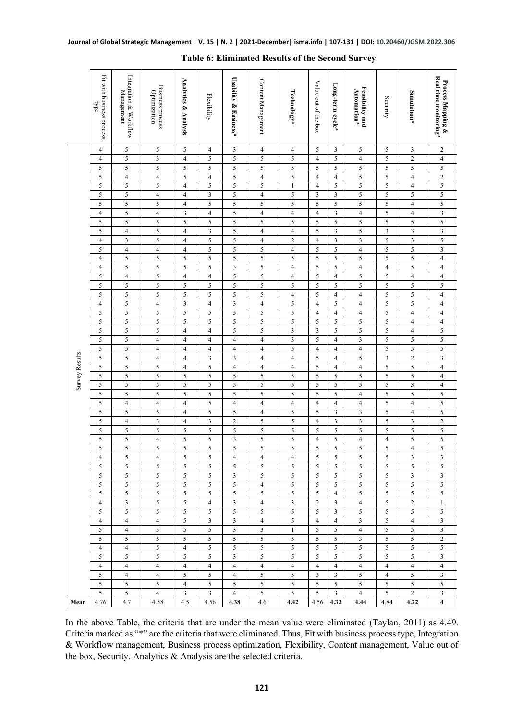|                | Fit with business process<br>bpe | Integration & Workflow<br>Management | <b>Business process</b><br>Optimization | Analytics & Analysis    | Flexibility                  | Usability & Easiness*  | Content Management      | Technology*                      | Value out of the box | Long-term cycle*        | Feasibility and<br>Automation* | Security                     | Simulation*         | Real time monitoring*<br>Process Mapping & |
|----------------|----------------------------------|--------------------------------------|-----------------------------------------|-------------------------|------------------------------|------------------------|-------------------------|----------------------------------|----------------------|-------------------------|--------------------------------|------------------------------|---------------------|--------------------------------------------|
|                | 4                                | 5                                    | $\sqrt{5}$                              | 5                       | 4                            | 3                      | $\overline{4}$          | $\overline{4}$                   | 5                    | 3                       | 5                              | 5                            | 3                   | $\sqrt{2}$                                 |
|                | $\overline{4}$                   | 5                                    | $\mathfrak{Z}$                          | $\overline{4}$          | 5                            | 5                      | 5                       | 5                                | $\overline{4}$       | 5                       | $\overline{4}$                 | $\mathfrak s$                | $\overline{c}$      | $\overline{4}$                             |
|                | 5                                | 5                                    | $\sqrt{5}$                              | 5                       | 5                            | 5                      | 5                       | $\sqrt{5}$                       | 5                    | 5                       | 5                              | $\mathfrak s$                | 5                   | $\overline{5}$                             |
|                | 5                                | $\overline{4}$                       | $\overline{4}$                          | 5                       | $\overline{4}$               | 5                      | $\overline{4}$          | $\sqrt{5}$                       | $\overline{4}$       | $\overline{4}$          | 5                              | 5                            | $\overline{4}$      | $\sqrt{2}$                                 |
|                | 5                                | 5                                    | 5                                       | $\overline{4}$          | 5                            | 5                      | 5                       | $\mathbf{1}$                     | $\overline{4}$       | 5                       | 5                              | $\mathfrak s$                | $\overline{4}$      | 5                                          |
|                | 5                                | 5                                    | $\overline{4}$                          | $\overline{4}$          | $\overline{\mathbf{3}}$      | 5                      | $\overline{4}$          | 5                                | $\overline{3}$       | $\overline{3}$          | 5                              | $\sqrt{5}$                   | 5                   | 5                                          |
|                | 5                                | 5                                    | 5                                       | $\overline{4}$          | 5                            | 5                      | 5                       | 5                                | 5                    | 5                       | 5                              | $\sqrt{5}$                   | $\overline{4}$      | $\overline{\mathbf{5}}$                    |
|                | $\overline{4}$                   | 5                                    | $\overline{4}$                          | 3                       | $\overline{4}$               | 5                      | $\overline{4}$          | $\overline{4}$                   | $\overline{4}$       | $\overline{\mathbf{3}}$ | $\overline{4}$                 | 5                            | $\overline{4}$      | $\overline{\mathbf{3}}$                    |
|                | 5                                | 5                                    | 5                                       | 5                       | 5                            | 5                      | 5                       | 5                                | 5                    | 5                       | 5                              | $\sqrt{5}$                   | 5                   | 5                                          |
|                | 5                                | $\overline{4}$                       | 5                                       | $\overline{4}$          | 3                            | 5                      | $\overline{4}$          | $\overline{4}$                   | 5                    | 3                       | 5                              | $\overline{\mathbf{3}}$      | 3                   | $\overline{\mathbf{3}}$                    |
|                | $\overline{4}$                   | $\mathfrak{Z}$                       | 5                                       | $\overline{\mathbf{4}}$ | $\mathfrak s$                | 5                      | $\overline{4}$          | $\overline{c}$                   | $\overline{4}$       | $\mathfrak{Z}$          | 3                              | $\mathfrak s$                | $\mathfrak{Z}$      | $\sqrt{5}$                                 |
|                | 5                                | $\overline{4}$                       | $\overline{4}$                          | $\overline{\mathbf{4}}$ | $\mathfrak s$                | 5                      | 5                       | $\overline{4}$                   | 5                    | 5                       | $\overline{\mathbf{4}}$        | $\sqrt{5}$                   | 5                   | 3                                          |
|                | $\overline{4}$                   | 5<br>5                               | 5                                       | 5<br>5                  | 5                            | 5                      | 5                       | 5                                | 5                    | 5                       | 5                              | 5                            | 5                   | $\overline{4}$                             |
|                | $\overline{4}$<br>5              | $\overline{4}$                       | 5<br>5                                  | $\overline{\mathbf{4}}$ | 5<br>$\overline{\mathbf{4}}$ | 3<br>5                 | 5<br>5                  | $\overline{4}$<br>$\overline{4}$ | 5<br>5               | 5<br>$\overline{4}$     | $\overline{4}$<br>5            | $\overline{4}$<br>$\sqrt{5}$ | 5<br>$\overline{4}$ | $\overline{4}$<br>$\overline{4}$           |
|                | 5                                | 5                                    | $\sqrt{5}$                              | 5                       | 5                            | 5                      | 5                       | 5                                | 5                    | 5                       | 5                              | $\sqrt{5}$                   | 5                   | 5                                          |
|                | 5                                | 5                                    | 5                                       | 5                       | 5                            | 5                      | 5                       | $\overline{4}$                   | 5                    | $\overline{4}$          | $\overline{\mathbf{4}}$        | $\sqrt{5}$                   | 5                   | $\overline{4}$                             |
|                | $\overline{4}$                   | 5                                    | $\overline{4}$                          | 3                       | $\overline{4}$               | 3                      | $\overline{4}$          | 5                                | $\overline{4}$       | 5                       | $\overline{4}$                 | 5                            | 5                   | $\overline{4}$                             |
|                | 5                                | 5                                    | 5                                       | 5                       | 5                            | 5                      | 5                       | 5                                | $\overline{4}$       | $\overline{4}$          | $\overline{4}$                 | $\mathfrak s$                | $\overline{4}$      | $\overline{4}$                             |
|                | 5                                | 5                                    | 5                                       | 5                       | 5                            | 5                      | 5                       | 5                                | 5                    | 5                       | 5                              | $\sqrt{5}$                   | $\overline{4}$      | $\sqrt{4}$                                 |
|                | 5                                | 5                                    | 5                                       | $\overline{4}$          | $\overline{4}$               | 5                      | 5                       | 3                                | 3                    | 5                       | 5                              | 5                            | $\overline{4}$      | 5                                          |
|                | $\sqrt{5}$                       | 5                                    | $\overline{4}$                          | $\overline{4}$          | $\overline{4}$               | $\overline{4}$         | $\overline{4}$          | $\overline{\mathbf{3}}$          | 5                    | $\overline{4}$          | 3                              | $\mathfrak s$                | 5                   | $\overline{5}$                             |
|                | 5                                | 5                                    | $\overline{4}$                          | $\overline{4}$          | $\overline{4}$               | $\overline{4}$         | $\overline{4}$          | 5                                | $\overline{4}$       | $\overline{4}$          | $\overline{\mathbf{4}}$        | $\sqrt{5}$                   | 5                   | 5                                          |
|                | 5                                | 5                                    | $\overline{4}$                          | $\overline{4}$          | 3                            | 3                      | $\overline{\mathbf{4}}$ | $\overline{4}$                   | 5                    | $\overline{4}$          | 5                              | $\mathfrak{Z}$               | $\overline{c}$      | $\overline{\mathbf{3}}$                    |
|                | 5                                | 5                                    | $\sqrt{5}$                              | $\overline{4}$          | $\mathfrak s$                | $\overline{4}$         | $\overline{4}$          | $\overline{4}$                   | $\mathfrak s$        | $\overline{4}$          | $\overline{4}$                 | $\sqrt{5}$                   | 5                   | $\overline{4}$                             |
| Survey Results | 5                                | 5                                    | 5                                       | 5                       | $\mathfrak s$                | 5                      | 5                       | $\sqrt{5}$                       | 5                    | $\mathfrak s$           | 5                              | $\mathfrak s$                | 5                   | $\overline{4}$                             |
|                | 5                                | 5                                    | 5                                       | 5                       | 5                            | 5                      | 5                       | 5                                | 5                    | 5                       | 5                              | 5                            | 3                   | $\overline{4}$                             |
|                | 5                                | 5                                    | 5                                       | 5                       | 5                            | 5                      | 5                       | 5                                | 5                    | 5                       | $\overline{\mathbf{4}}$        | $\mathfrak s$                | 5                   | 5                                          |
|                | 5                                | $\overline{4}$                       | $\overline{4}$                          | $\overline{4}$          | $\mathfrak s$                | $\overline{4}$         | $\overline{4}$          | $\overline{4}$                   | $\overline{4}$       | $\overline{4}$          | $\overline{4}$                 | $\sqrt{5}$                   | $\overline{4}$      | $\sqrt{5}$                                 |
|                | 5                                | 5                                    | 5                                       | $\overline{4}$          | 5                            | 5                      | $\overline{4}$          | 5                                | 5                    | 3                       | 3                              | $\sqrt{5}$                   | $\overline{4}$      | $\overline{\mathbf{5}}$                    |
|                | 5                                | $\overline{4}$                       | $\ensuremath{\mathfrak{Z}}$             | $\overline{4}$          | $\mathfrak z$                | $\sqrt{2}$             | 5                       | $\sqrt{5}$                       | $\overline{4}$       | 3                       | 3                              | 5                            | 3                   | $\overline{2}$                             |
|                | 5                                | 5                                    | 5                                       | 5                       | 5                            | 5                      | 5                       | 5                                | 5                    | 5                       | 5                              | 5                            | 5                   | $\overline{\mathbf{5}}$                    |
|                | 5                                | 5                                    | $\overline{4}$                          | 5<br>5                  | 5                            | 3<br>5                 | 5                       | 5                                | $\overline{4}$<br>5  | 5                       | $\overline{4}$                 | $\overline{4}$               | 5                   | $\overline{5}$<br>5                        |
|                | 5<br>$\overline{4}$              | $\mathfrak s$<br>5                   | 5<br>$\overline{4}$                     | 5                       | $\mathfrak s$<br>5           | $\overline{4}$         | 5<br>$\overline{4}$     | 5<br>$\overline{4}$              | 5                    | 5<br>5                  | 5<br>5                         | $\mathfrak s$<br>5           | $\overline{4}$<br>3 | $\overline{\mathbf{3}}$                    |
|                | 5                                | 5                                    | 5                                       | 5                       | 5                            | 5                      | 5                       | 5                                | 5                    | 5                       | 5                              | $\mathfrak s$                | 5                   | 5                                          |
|                | 5                                | 5                                    | 5                                       | 5                       | 5                            | $\mathfrak{Z}$         | 5                       | 5                                | 5                    | 5                       | 5                              | $\sqrt{5}$                   | 3                   | $\overline{\mathbf{3}}$                    |
|                | 5                                | 5                                    | 5                                       | 5                       | 5                            | 5                      | $\overline{\mathbf{4}}$ | 5                                | $\sqrt{5}$           | 5                       | 5                              | 5                            | 5                   | $\overline{5}$                             |
|                | 5                                | 5                                    | 5                                       | 5                       | 5                            | 5                      | 5                       | 5                                | 5                    | $\overline{4}$          | 5                              | 5                            | 5                   | 5                                          |
|                | $\overline{4}$                   | 3                                    | 5                                       | 5                       | $\overline{4}$               | 3                      | $\overline{4}$          | 3                                | $\overline{2}$       | 3                       | $\overline{4}$                 | 5                            | 2                   | $\mathbf{1}$                               |
|                | 5                                | $5^{\circ}$                          | 5                                       | 5                       | 5                            | 5                      | 5                       | 5                                | 5                    | $\mathbf{3}$            | 5                              | 5                            | 5                   | 5                                          |
|                | $\overline{4}$                   | $\overline{4}$                       | $\overline{4}$                          | 5                       | $\mathfrak{Z}$               | 3                      | $\overline{4}$          | 5                                | $\overline{4}$       | $\overline{4}$          | 3                              | 5                            | $\overline{4}$      | 3                                          |
|                | 5                                | $\overline{4}$                       | $\mathfrak{Z}$                          | 5                       | 5                            | 3                      | 3                       | $\mathbf{1}$                     | 5                    | 5                       | $\overline{4}$                 | 5                            | 5                   | 3                                          |
|                | 5                                | 5                                    | 5                                       | 5                       | 5                            | 5                      | 5                       | 5                                | 5                    | 5                       | 3                              | 5                            | 5                   | $\overline{c}$                             |
|                | $\overline{4}$                   | $\overline{4}$                       | 5                                       | $\overline{4}$          | 5                            | 5                      | 5                       | 5                                | 5                    | 5                       | 5                              | $\sqrt{5}$                   | 5                   | 5                                          |
|                | 5                                | 5                                    | 5                                       | 5                       | 5                            | 3                      | 5                       | 5                                | 5                    | 5                       | 5                              | 5                            | 5                   | 3                                          |
|                | $\overline{4}$                   | $\overline{4}$                       | $\overline{4}$                          | $\overline{4}$          | $\overline{4}$               | $\overline{4}$         | $\overline{4}$          | $\overline{4}$                   | $\overline{4}$       | $\overline{4}$          | $\overline{4}$                 | $\overline{4}$               | $\overline{4}$      | $\overline{4}$                             |
|                | 5 <sup>5</sup>                   | $\overline{4}$                       | $\overline{4}$                          | 5                       | 5                            | $\overline{4}$         | 5                       | 5                                | 3                    | 3                       | 5                              | $\overline{4}$               | 5                   | $\overline{\mathbf{3}}$                    |
|                | 5<br>$5\overline{)}$             | 5                                    | 5 <sup>5</sup>                          | $\overline{4}$          | 5                            | 5                      | $5^{\circ}$             | 5<br>5 <sup>5</sup>              | 5<br>5               | 5 <sup>5</sup>          | 5                              | 5                            | 5<br>$\overline{c}$ | 5<br>$\mathbf{3}$                          |
| Mean           | 4.76                             | 5<br>4.7                             | $\overline{4}$<br>4.58                  | $\mathbf{3}$<br>4.5     | $\mathbf{3}$<br>4.56         | $\overline{4}$<br>4.38 | 5<br>4.6                | 4.42                             | 4.56                 | $\mathbf{3}$<br>4.32    | $\overline{4}$<br>4.44         | 5<br>4.84                    | 4.22                | $\overline{\mathbf{4}}$                    |
|                |                                  |                                      |                                         |                         |                              |                        |                         |                                  |                      |                         |                                |                              |                     |                                            |

#### **Table 6: Eliminated Results of the Second Survey**

In the above Table, the criteria that are under the mean value were eliminated (Taylan, 2011) as 4.49. Criteria marked as "\*" are the criteria that were eliminated. Thus, Fit with business process type, Integration & Workflow management, Business process optimization, Flexibility, Content management, Value out of the box, Security, Analytics & Analysis are the selected criteria.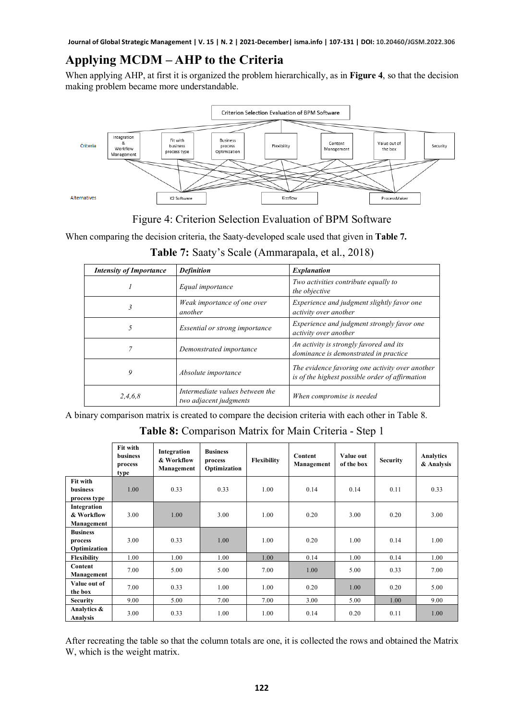### **Applying MCDM – AHP to the Criteria**

When applying AHP, at first it is organized the problem hierarchically, as in **Figure 4**, so that the decision making problem became more understandable.



Figure 4: Criterion Selection Evaluation of BPM Software

When comparing the decision criteria, the Saaty-developed scale used that given in **Table 7.**

| <b>Intensity of Importance</b> | <b>Definition</b>                                         | <b>Explanation</b>                                                                                 |
|--------------------------------|-----------------------------------------------------------|----------------------------------------------------------------------------------------------------|
|                                | Equal importance                                          | Two activities contribute equally to<br>the objective                                              |
| ィ                              | Weak importance of one over<br>another                    | Experience and judgment slightly favor one<br>activity over another                                |
|                                | Essential or strong importance                            | Experience and judgment strongly favor one<br>activity over another                                |
|                                | Demonstrated importance                                   | An activity is strongly favored and its<br>dominance is demonstrated in practice                   |
| 9                              | Absolute importance                                       | The evidence favoring one activity over another<br>is of the highest possible order of affirmation |
| 2,4,6,8                        | Intermediate values between the<br>two adjacent judgments | When compromise is needed                                                                          |

**Table 7:** Saaty's Scale (Ammarapala, et al., 2018)

A binary comparison matrix is created to compare the decision criteria with each other in Table 8.

**Table 8:** Comparison Matrix for Main Criteria - Step 1

|                                            | Fit with<br><b>business</b><br>process<br>type | Integration<br>& Workflow<br>Management | <b>Business</b><br>process<br>Optimization | Flexibility | Content<br>Management | Value out<br>of the box | <b>Security</b> | Analytics<br>& Analysis |
|--------------------------------------------|------------------------------------------------|-----------------------------------------|--------------------------------------------|-------------|-----------------------|-------------------------|-----------------|-------------------------|
| Fit with<br>business                       | 1.00                                           | 0.33                                    | 0.33                                       | 1.00        | 0.14                  | 0.14                    | 0.11            | 0.33                    |
| process type                               |                                                |                                         |                                            |             |                       |                         |                 |                         |
| Integration<br>& Workflow<br>Management    | 3.00                                           | 1.00                                    | 3.00                                       | 1.00        | 0.20                  | 3.00                    | 0.20            | 3.00                    |
| <b>Business</b><br>process<br>Optimization | 3.00                                           | 0.33                                    | 1.00                                       | 1.00        | 0.20                  | 1.00                    | 0.14            | 1.00                    |
| Flexibility                                | 1.00                                           | 1.00                                    | 1.00                                       | 1.00        | 0.14                  | 1.00                    | 0.14            | 1.00                    |
| Content<br>Management                      | 7.00                                           | 5.00                                    | 5.00                                       | 7.00        | 1.00                  | 5.00                    | 0.33            | 7.00                    |
| Value out of<br>the box                    | 7.00                                           | 0.33                                    | 1.00                                       | 1.00        | 0.20                  | 1.00                    | 0.20            | 5.00                    |
| <b>Security</b>                            | 9.00                                           | 5.00                                    | 7.00                                       | 7.00        | 3.00                  | 5.00                    | 1.00            | 9.00                    |
| Analytics &<br>Analysis                    | 3.00                                           | 0.33                                    | 1.00                                       | 1.00        | 0.14                  | 0.20                    | 0.11            | 1.00                    |

After recreating the table so that the column totals are one, it is collected the rows and obtained the Matrix W, which is the weight matrix.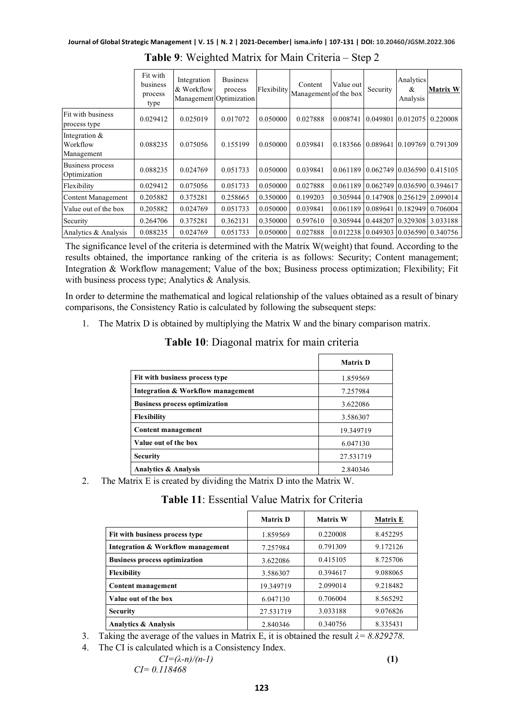|                                         | Fit with<br>business<br>process<br>type | Integration<br>& Workflow | <b>Business</b><br>process<br>Management Optimization | Flexibility | Content<br>Management of the box | Value out | Security          | Analytics<br>&<br>Analysis | <b>Matrix W</b>             |
|-----------------------------------------|-----------------------------------------|---------------------------|-------------------------------------------------------|-------------|----------------------------------|-----------|-------------------|----------------------------|-----------------------------|
| Fit with business<br>process type       | 0.029412                                | 0.025019                  | 0.017072                                              | 0.050000    | 0.027888                         | 0.008741  | 0.049801          |                            | 0.012075 0.220008           |
| Integration &<br>Workflow<br>Management | 0.088235                                | 0.075056                  | 0.155199                                              | 0.050000    | 0.039841                         | 0.183566  |                   |                            | 10.08964110.10976910.791309 |
| <b>Business process</b><br>Optimization | 0.088235                                | 0.024769                  | 0.051733                                              | 0.050000    | 0.039841                         | 0.061189  |                   |                            | 0.062749 0.036590 0.415105  |
| Flexibility                             | 0.029412                                | 0.075056                  | 0.051733                                              | 0.050000    | 0.027888                         | 0.061189  |                   |                            | 0.062749 0.036590 0.394617  |
| Content Management                      | 0.205882                                | 0.375281                  | 0.258665                                              | 0.350000    | 0.199203                         | 0.305944  |                   |                            | 0.147908 0.256129 2.099014  |
| Value out of the box                    | 0.205882                                | 0.024769                  | 0.051733                                              | 0.050000    | 0.039841                         | 0.061189  | 0.089641          | 0.182949                   | 0.706004                    |
| Security                                | 0.264706                                | 0.375281                  | 0.362131                                              | 0.350000    | 0.597610                         | 0.305944  | 0.448207 0.329308 |                            | 3.033188                    |
| Analytics & Analysis                    | 0.088235                                | 0.024769                  | 0.051733                                              | 0.050000    | 0.027888                         | 0.012238  | 0.049303          |                            | 0.036590 0.340756           |

**Table 9**: Weighted Matrix for Main Criteria – Step 2

The significance level of the criteria is determined with the Matrix W(weight) that found. According to the results obtained, the importance ranking of the criteria is as follows: Security; Content management; Integration & Workflow management; Value of the box; Business process optimization; Flexibility; Fit with business process type; Analytics & Analysis.

In order to determine the mathematical and logical relationship of the values obtained as a result of binary comparisons, the Consistency Ratio is calculated by following the subsequent steps:

1. The Matrix D is obtained by multiplying the Matrix W and the binary comparison matrix.

|                                      | <b>Matrix D</b> |
|--------------------------------------|-----------------|
| Fit with business process type       | 1.859569        |
| Integration & Workflow management    | 7.257984        |
| <b>Business process optimization</b> | 3.622086        |
| <b>Flexibility</b>                   | 3.586307        |
| <b>Content management</b>            | 19.349719       |
| Value out of the box                 | 6.047130        |
| <b>Security</b>                      | 27.531719       |
| <b>Analytics &amp; Analysis</b><br>. | 2.840346        |

#### **Table 10**: Diagonal matrix for main criteria

2. The Matrix E is created by dividing the Matrix D into the Matrix W.

| Table 11: Essential Value Matrix for Criteria |
|-----------------------------------------------|
|-----------------------------------------------|

|                                      | <b>Matrix D</b> | <b>Matrix W</b> | <b>Matrix E</b> |
|--------------------------------------|-----------------|-----------------|-----------------|
| Fit with business process type       | 1.859569        | 0.220008        | 8.452295        |
| Integration & Workflow management    | 7.257984        | 0.791309        | 9.172126        |
| <b>Business process optimization</b> | 3.622086        | 0.415105        | 8.725706        |
| Flexibility                          | 3.586307        | 0.394617        | 9.088065        |
| <b>Content management</b>            | 19.349719       | 2.099014        | 9.218482        |
| Value out of the box                 | 6.047130        | 0.706004        | 8.565292        |
| <b>Security</b>                      | 27.531719       | 3.033188        | 9.076826        |
| <b>Analytics &amp; Analysis</b>      | 2.840346        | 0.340756        | 8.335431        |

3. Taking the average of the values in Matrix E, it is obtained the result *λ= 8.829278*.

4. The CI is calculated which is a Consistency Index.

$$
CI = (\lambda - n)/(n-1)
$$
  
\nCI = 0.118468 (1)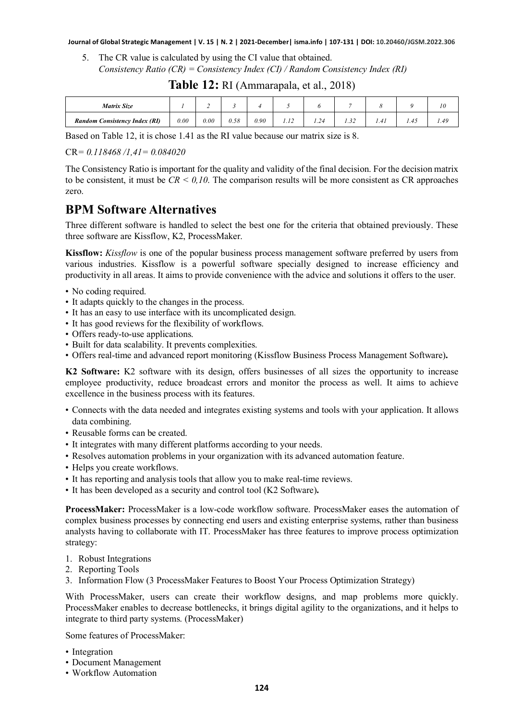5. The CR value is calculated by using the CI value that obtained. *Consistency Ratio (CR) = Consistency Index (CI) / Random Consistency Index (RI)*

| <b>Matrix Size</b>                   |           |      |      |      |      |      |      |      |      | 1 V  |
|--------------------------------------|-----------|------|------|------|------|------|------|------|------|------|
| <b>Random Consistency Index (RI)</b> | $_{0.00}$ | 0.00 | 0.58 | 0.90 | 1.14 | 1.24 | 1.32 | 1.41 | 1.45 | 1.49 |

#### **Table 12:** RI (Ammarapala, et al., 2018)

Based on Table 12, it is chose 1.41 as the RI value because our matrix size is 8.

CR*= 0.118468 /1,41= 0.084020*

The Consistency Ratio is important for the quality and validity of the final decision. For the decision matrix to be consistent, it must be  $CR < 0.10$ . The comparison results will be more consistent as CR approaches zero.

#### **BPM Software Alternatives**

Three different software is handled to select the best one for the criteria that obtained previously. These three software are Kissflow, K2, ProcessMaker.

**Kissflow:** *Kissflow* is one of the popular business process management software preferred by users from various industries. Kissflow is a powerful software specially designed to increase efficiency and productivity in all areas. It aims to provide convenience with the advice and solutions it offers to the user.

- No coding required.
- It adapts quickly to the changes in the process.
- It has an easy to use interface with its uncomplicated design.
- It has good reviews for the flexibility of workflows.
- Offers ready-to-use applications.
- Built for data scalability. It prevents complexities.
- Offers real-time and advanced report monitoring (Kissflow Business Process Management Software)**.**

**K2 Software:** K2 software with its design, offers businesses of all sizes the opportunity to increase employee productivity, reduce broadcast errors and monitor the process as well. It aims to achieve excellence in the business process with its features.

- Connects with the data needed and integrates existing systems and tools with your application. It allows data combining.
- Reusable forms can be created.
- It integrates with many different platforms according to your needs.
- Resolves automation problems in your organization with its advanced automation feature.
- Helps you create workflows.
- It has reporting and analysis tools that allow you to make real-time reviews.
- It has been developed as a security and control tool (K2 Software)**.**

**ProcessMaker:** ProcessMaker is a low-code workflow software. ProcessMaker eases the automation of complex business processes by connecting end users and existing enterprise systems, rather than business analysts having to collaborate with IT. ProcessMaker has three features to improve process optimization strategy:

- 1. Robust Integrations
- 2. Reporting Tools
- 3. Information Flow (3 ProcessMaker Features to Boost Your Process Optimization Strategy)

With ProcessMaker, users can create their workflow designs, and map problems more quickly. ProcessMaker enables to decrease bottlenecks, it brings digital agility to the organizations, and it helps to integrate to third party systems. (ProcessMaker)

Some features of ProcessMaker:

- Integration
- Document Management
- Workflow Automation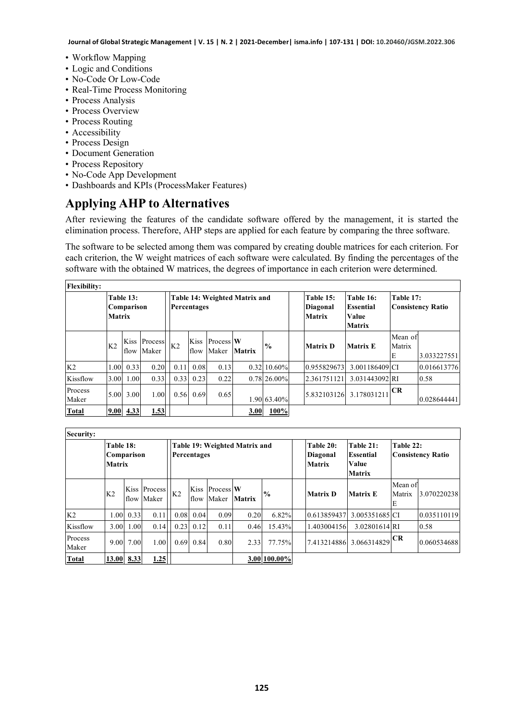- Workflow Mapping
- Logic and Conditions
- No-Code Or Low-Code
- Real-Time Process Monitoring
- Process Analysis
- Process Overview
- Process Routing
- Accessibility
- Process Design
- Document Generation
- Process Repository
- No-Code App Development
- Dashboards and KPIs (ProcessMaker Features)

#### **Applying AHP to Alternatives**

After reviewing the features of the candidate software offered by the management, it is started the elimination process. Therefore, AHP steps are applied for each feature by comparing the three software.

The software to be selected among them was compared by creating double matrices for each criterion. For each criterion, the W weight matrices of each software were calculated. By finding the percentages of the software with the obtained W matrices, the degrees of importance in each criterion were determined.

| <b>Flexibility:</b> |                                          |               |                  |                |              |                    |                               |                   |                                               |                                                  |                        |                          |
|---------------------|------------------------------------------|---------------|------------------|----------------|--------------|--------------------|-------------------------------|-------------------|-----------------------------------------------|--------------------------------------------------|------------------------|--------------------------|
|                     | Table 13:<br>Comparison<br><b>Matrix</b> |               |                  |                | Percentages  |                    | Table 14: Weighted Matrix and |                   | Table 15:<br><b>Diagonal</b><br><b>Matrix</b> | Table 16:<br>Essential<br>Value<br><b>Matrix</b> | Table 17:              | <b>Consistency Ratio</b> |
|                     | K <sub>2</sub>                           | Kiss<br>flow  | Process<br>Maker | K <sub>2</sub> | Kiss<br>flow | Process W<br>Maker | Matrix                        | $\frac{6}{9}$     | <b>Matrix D</b>                               | <b>Matrix E</b>                                  | Mean of<br>Matrix<br>E | 3.033227551              |
| K <sub>2</sub>      | 1.00                                     | 0.33          | 0.20             | 0.11           | 0.08         | 0.13               |                               | $0.32 \, 10.60\%$ | 0.955829673                                   | 3.001186409 CI                                   |                        | 0.016613776              |
| Kissflow            | 3.00                                     | 1.00          | 0.33             | 0.33           | 0.23         | 0.22               |                               | $0.78$ 26.00%     | 2.361751121                                   | 3.031443092 RI                                   |                        | 0.58                     |
| Process<br>Maker    |                                          | 5.00 3.00     | 1.00             | 0.56           | 0.69         | 0.65               |                               | 1.90 63.40%       | 5.832103126                                   | 3.178031211                                      | CR                     | 0.028644441              |
| <b>Total</b>        |                                          | $9.00\,$ 4.33 | 1.53             |                |              |                    | 3.00                          | 100%              |                                               |                                                  |                        |                          |

| Security:        |                                                          |            |            |                                              |      |                              |        |               |  |                                               |                                                         |                        |                          |
|------------------|----------------------------------------------------------|------------|------------|----------------------------------------------|------|------------------------------|--------|---------------|--|-----------------------------------------------|---------------------------------------------------------|------------------------|--------------------------|
|                  | Table 18:<br>Comparison<br><b>Matrix</b><br>Kiss Process |            |            | Table 19: Weighted Matrix and<br>Percentages |      |                              |        |               |  | Table 20:<br><b>Diagonal</b><br><b>Matrix</b> | Table 21:<br><b>Essential</b><br>Value<br><b>Matrix</b> | Table 22:              | <b>Consistency Ratio</b> |
|                  | K <sub>2</sub>                                           |            | flow Maker | K <sub>2</sub>                               |      | Kiss Process W<br>flow Maker | Matrix | $\frac{0}{0}$ |  | <b>Matrix D</b>                               | <b>Matrix E</b>                                         | Mean of<br>Matrix<br>E | 3.070220238              |
| K <sub>2</sub>   |                                                          | 1.00 0.33  | 0.11       | 0.08                                         | 0.04 | 0.09                         | 0.20   | 6.82%         |  | 0.613859437                                   | 3.005351685 CI                                          |                        | 0.035110119              |
| Kissflow         | 3.00                                                     | 1.00       | 0.14       | 0.23                                         | 0.12 | 0.11                         | 0.46   | 15.43%        |  | 1.4030041561                                  | 3.02801614 RI                                           |                        | 0.58                     |
| Process<br>Maker |                                                          | 9.00 7.00  | 1.00       | 0.69                                         | 0.84 | 0.80                         | 2.33   | 77.75%        |  |                                               | 7.413214886 3.066314829                                 | CR                     | 0.060534688              |
| <b>Total</b>     |                                                          | 13.00 8.33 | 1.25       |                                              |      |                              |        | 3.00 100.00%  |  |                                               |                                                         |                        |                          |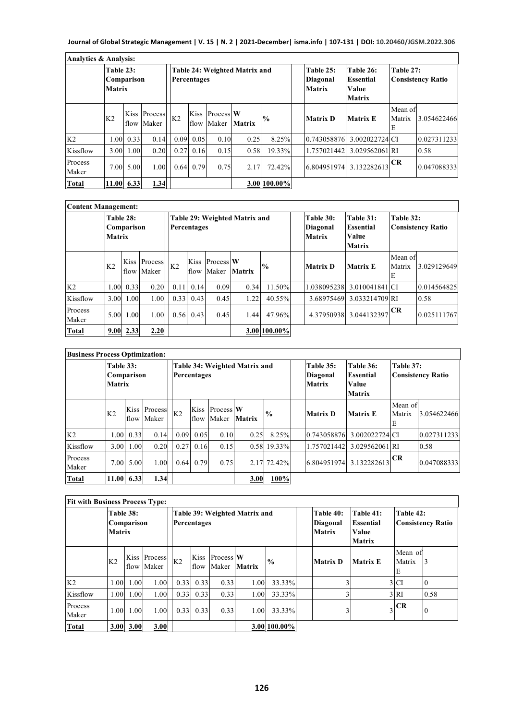| <b>Analytics &amp; Analysis:</b> |                                          |      |                                  |                                              |                |                              |               |               |  |                                               |                                                         |                        |                          |
|----------------------------------|------------------------------------------|------|----------------------------------|----------------------------------------------|----------------|------------------------------|---------------|---------------|--|-----------------------------------------------|---------------------------------------------------------|------------------------|--------------------------|
|                                  | Table 23:<br>Comparison<br><b>Matrix</b> |      |                                  | Table 24: Weighted Matrix and<br>Percentages |                |                              |               |               |  | Table 25:<br><b>Diagonal</b><br><b>Matrix</b> | Table 26:<br><b>Essential</b><br>Value<br><b>Matrix</b> | Table 27:              | <b>Consistency Ratio</b> |
|                                  | K <sub>2</sub>                           |      | Kiss Process $K_2$<br>flow Maker |                                              |                | Kiss Process W<br>flow Maker | <b>Matrix</b> | $\frac{0}{0}$ |  | <b>Matrix D</b>                               | <b>Matrix E</b>                                         | Mean of<br>Matrix<br>E | 3.054622466              |
| K <sub>2</sub>                   | 1.00                                     | 0.33 | 0.14                             | 0.09                                         | 0.05           | 0.10                         | 0.25          | 8.25%         |  | 0.743058876                                   | 3.002022724 CI                                          |                        | 0.027311233              |
| Kissflow                         | 3.00                                     | 1.00 | 0.20                             | 0.27                                         | 0.16           | 0.15                         | 0.58          | 19.33%        |  | 1.757021442                                   | 3.029562061 RI                                          |                        | 0.58                     |
| Process<br>Maker                 | 7.00                                     | 5.00 | 1.00                             |                                              | $0.64 \, 0.79$ | 0.75                         | 2.17          | 72.42%        |  |                                               | $6.804951974$ 3.132282613 CR                            |                        | 0.047088333              |
| <b>Total</b>                     | 11.00                                    | 6.33 | 1.34                             |                                              |                |                              |               | 3.00 100.00%  |  |                                               |                                                         |                        |                          |

| <b>Content Management:</b> |                            |            |                            |                |                    |                    |                               |               |                                        |                                                         |                        |                          |
|----------------------------|----------------------------|------------|----------------------------|----------------|--------------------|--------------------|-------------------------------|---------------|----------------------------------------|---------------------------------------------------------|------------------------|--------------------------|
|                            | Table 28:<br><b>Matrix</b> | Comparison |                            |                | <b>Percentages</b> |                    | Table 29: Weighted Matrix and |               | Table 30:<br>Diagonal<br><b>Matrix</b> | Table 31:<br><b>Essential</b><br>Value<br><b>Matrix</b> | Table 32:              | <b>Consistency Ratio</b> |
|                            | K <sub>2</sub>             |            | Kiss Process<br>flow Maker | K <sub>2</sub> | Kiss<br>flow       | Process W<br>Maker | <b>Matrix</b>                 | $\frac{0}{0}$ | Matrix D                               | <b>Matrix E</b>                                         | Mean of<br>Matrix<br>E | 3.029129649              |
| K <sub>2</sub>             | 1.00                       | 0.33       | 0.20                       | 0.11           | 0.14               | 0.09               | 0.34                          | 11.50%        | 1.038095238                            | 3.010041841 CI                                          |                        | 0.014564825              |
| Kissflow                   | 3.00                       | 1.00       | 1.00                       | 0.33           | 0.43               | 0.45               | 1.22                          | 40.55%        | 3.68975469                             | 3.033214709 RI                                          |                        | 0.58                     |
| Process<br>Maker           | 5.00                       | 1.00       | 1.00                       |                | $0.56 \, 0.43$     | 0.45               | 1.44                          | 47.96%        | 4.37950938                             | $3.044132397$ <sup>CR</sup>                             |                        | 0.025111767              |
| <b>Total</b>               |                            | 9.00 2.33  | 2.20                       |                |                    |                    |                               | 3.00 100.00%  |                                        |                                                         |                        |                          |

| <b>Business Process Optimization:</b> |                                          |              |                  |                                              |      |                              |        |               |                                 |                                                         |                        |                          |
|---------------------------------------|------------------------------------------|--------------|------------------|----------------------------------------------|------|------------------------------|--------|---------------|---------------------------------|---------------------------------------------------------|------------------------|--------------------------|
|                                       | Table 33:<br>Comparison<br><b>Matrix</b> |              |                  | Table 34: Weighted Matrix and<br>Percentages |      |                              |        |               | Table 35:<br>Diagonal<br>Matrix | Table 36:<br><b>Essential</b><br>Value<br><b>Matrix</b> | Table 37:              | <b>Consistency Ratio</b> |
|                                       | K <sub>2</sub>                           | Kiss<br>flow | Process<br>Maker | K <sub>2</sub>                               |      | Kiss Process W<br>flow Maker | Matrix | $\frac{0}{0}$ | <b>Matrix D</b>                 | <b>Matrix E</b>                                         | Mean of<br>Matrix<br>E | 3.054622466              |
| K2                                    |                                          | 1.00 0.33    | 0.14             | 0.09                                         | 0.05 | 0.10                         | 0.25   | 8.25%         | 0.743058876                     | 3.002022724 CI                                          |                        | 0.027311233              |
| Kissflow                              | 3.00                                     | 1.00         | 0.20             | 0.27                                         | 0.16 | 0.15                         |        | 0.58 19.33%   | 1.757021442                     | 3.029562061 RI                                          |                        | 0.58                     |
| Process<br>Maker                      | 7.00                                     | 5.00         | 1.00             | 0.64                                         | 0.79 | 0.75                         |        | 2.17 72.42%   | 6.804951974                     | 3.132282613                                             | CR                     | 0.047088333              |
| <b>Total</b>                          | 11.00                                    | 6.33         | 1.34             |                                              |      |                              | 3.00   | 100%          |                                 |                                                         |                        |                          |

| <b>Fit with Business Process Type:</b> |                            |                  |                            |                                                     |      |                              |               |               |  |                                        |                                                         |                        |                          |
|----------------------------------------|----------------------------|------------------|----------------------------|-----------------------------------------------------|------|------------------------------|---------------|---------------|--|----------------------------------------|---------------------------------------------------------|------------------------|--------------------------|
|                                        | Table 38:<br><b>Matrix</b> | Comparison       |                            | Table 39: Weighted Matrix and<br><b>Percentages</b> |      |                              |               |               |  | Table 40:<br>Diagonal<br><b>Matrix</b> | Table 41:<br><b>Essential</b><br>Value<br><b>Matrix</b> | Table 42:              | <b>Consistency Ratio</b> |
|                                        | K <sub>2</sub>             |                  | Kiss Process<br>flow Maker | K <sub>2</sub>                                      |      | Kiss Process W<br>flow Maker | <b>Matrix</b> | $\frac{0}{0}$ |  | <b>Matrix D</b>                        | Matrix E                                                | Mean of<br>Matrix<br>E | 13                       |
| K <sub>2</sub>                         | 1.00                       | .00 <sub>1</sub> | 1.00                       | 0.33                                                | 0.33 | 0.33                         | 1.00          | 33.33%        |  | 3                                      |                                                         | 3 CI                   | 0                        |
| Kissflow                               | 1.00                       | 00.1             | 1.00                       | 0.33                                                | 0.33 | 0.33                         | 1.00          | 33.33%        |  | 3                                      |                                                         | $3$ RI                 | 0.58                     |
| Process<br>Maker                       | 1.00                       | 1.00             | 1.00                       | 0.33                                                | 0.33 | 0.33                         | 1.00          | 33.33%        |  |                                        |                                                         | $\frac{1}{3}$ CR       | $\overline{0}$           |
| <b>Total</b>                           | 3.00                       | 3.00             | 3.00                       |                                                     |      |                              |               | 3.00 100.00%  |  |                                        |                                                         |                        |                          |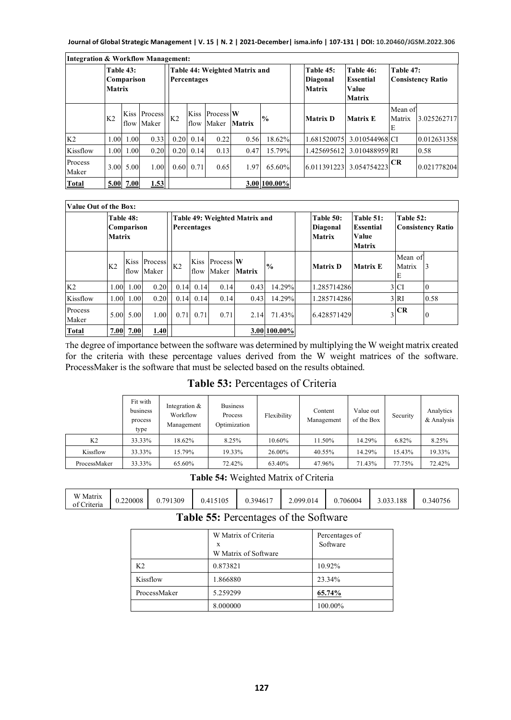| <b>Integration &amp; Workflow Management:</b> |                |                         |                       |                                              |              |                    |        |               |  |                                        |                                                         |                        |                          |
|-----------------------------------------------|----------------|-------------------------|-----------------------|----------------------------------------------|--------------|--------------------|--------|---------------|--|----------------------------------------|---------------------------------------------------------|------------------------|--------------------------|
|                                               | <b>Matrix</b>  | Table 43:<br>Comparison |                       | Table 44: Weighted Matrix and<br>Percentages |              |                    |        |               |  | Table 45:<br>Diagonal<br><b>Matrix</b> | Table 46:<br><b>Essential</b><br>Value<br><b>Matrix</b> | Table 47:              | <b>Consistency Ratio</b> |
|                                               | K <sub>2</sub> | flow                    | Kiss Process<br>Maker | K <sub>2</sub>                               | Kiss<br>flow | Process W<br>Maker | Matrix | $\frac{0}{0}$ |  | <b>Matrix D</b>                        | <b>Matrix E</b>                                         | Mean of<br>Matrix<br>E | 3.025262717              |
| K <sub>2</sub>                                | 1.00           | 1.00                    | 0.33                  | 0.20                                         | 0.14         | 0.22               | 0.56   | 18.62%        |  | 1.681520075                            | 3.010544968 CI                                          |                        | 0.012631358              |
| Kissflow                                      | 1.00           | 1.00                    | 0.20                  | 0.20                                         | 0.14         | 0.13               | 0.47   | 15.79%        |  | 1.425695612                            | 3.010488959 RI                                          |                        | 0.58                     |
| Process<br>Maker                              |                | 3.00 5.00               | 1.00                  | 0.60                                         | 0.71         | 0.65               | 1.97   | 65.60%        |  | 6.011391223                            | 3.054754223                                             | CR                     | 0.021778204              |
| <b>Total</b>                                  |                | 5.00 7.00               | 1.53                  |                                              |              |                    |        | 3.00 100.00%  |  |                                        |                                                         |                        |                          |

| Value Out of the Box: |                                          |      |                       |                                                     |                |      |                              |               |               |                                               |                                                         |                        |                          |
|-----------------------|------------------------------------------|------|-----------------------|-----------------------------------------------------|----------------|------|------------------------------|---------------|---------------|-----------------------------------------------|---------------------------------------------------------|------------------------|--------------------------|
|                       | Table 48:<br>Comparison<br><b>Matrix</b> |      |                       | Table 49: Weighted Matrix and<br><b>Percentages</b> |                |      |                              |               |               | Table 50:<br><b>Diagonal</b><br><b>Matrix</b> | Table 51:<br><b>Essential</b><br>Value<br><b>Matrix</b> | Table 52:              | <b>Consistency Ratio</b> |
|                       | K <sub>2</sub>                           | Kiss | Process<br>flow Maker |                                                     | K <sub>2</sub> |      | Kiss Process W<br>flow Maker | <b>Matrix</b> | $\frac{0}{0}$ | <b>Matrix D</b>                               | <b>Matrix E</b>                                         | Mean of<br>Matrix<br>E | 13                       |
| K <sub>2</sub>        | 1.00                                     | 1.00 | 0.20                  |                                                     | 0.14           | 0.14 | 0.14                         | 0.43          | 14.29%        | 1.285714286                                   |                                                         | 3 <sub>CI</sub>        | $\mathbf{0}$             |
| Kissflow              | 1.00                                     | 1.00 | 0.20                  |                                                     | 0.14           | 0.14 | 0.14                         | 0.43          | 14.29%        | 1.285714286                                   |                                                         | 3 <sup>RI</sup>        | 0.58                     |
| Process<br>Maker      | 5.00                                     | 5.00 | 1.00                  |                                                     | 0.71           | 0.71 | 0.71                         | 2.14          | 71.43%        | 6.428571429                                   |                                                         | $3$ CR                 | $\boldsymbol{0}$         |
| <b>Total</b>          | 7.00                                     | 7.00 | 1.40                  |                                                     |                |      |                              |               | 3.00 100.00%  |                                               |                                                         |                        |                          |

The degree of importance between the software was determined by multiplying the W weight matrix created for the criteria with these percentage values derived from the W weight matrices of the software. ProcessMaker is the software that must be selected based on the results obtained.

#### **Table 53:** Percentages of Criteria

|                | Fit with<br>business<br>process<br>type | Integration &<br>Workflow<br>Management | <b>Business</b><br>Process<br>Optimization | Flexibility | Content<br>Management | Value out<br>of the Box | Security | Analytics<br>& Analysis |
|----------------|-----------------------------------------|-----------------------------------------|--------------------------------------------|-------------|-----------------------|-------------------------|----------|-------------------------|
| K <sub>2</sub> | 33.33%                                  | 18.62%                                  | 8.25%                                      | 10.60%      | 11.50%                | 14.29%                  | 6.82%    | 8.25%                   |
| Kissflow       | 33.33%                                  | 15.79%                                  | 19.33%                                     | 26.00%      | 40.55%                | 14.29%                  | 15.43%   | 19.33%                  |
| ProcessMaker   | 33.33%                                  | 65.60%                                  | 72.42%                                     | 63.40%      | 47.96%                | 71.43%                  | 77.75%   | 72.42%                  |

**Table 54:** Weighted Matrix of Criteria

| W Matrix<br>$\sim$ $\sim$ $\sim$<br>Criteria<br>of | 0.220008 | 0.791309<br>J. I | 0.415105 | 0.394617 | 2.099.014 | 706004 | 3.033.188 | 0.340756 |
|----------------------------------------------------|----------|------------------|----------|----------|-----------|--------|-----------|----------|
|----------------------------------------------------|----------|------------------|----------|----------|-----------|--------|-----------|----------|

#### **Table 55:** Percentages of the Software

|                | W Matrix of Criteria<br>X<br>W Matrix of Software | Percentages of<br>Software |
|----------------|---------------------------------------------------|----------------------------|
| K <sub>2</sub> | 0.873821                                          | 10.92%                     |
| Kissflow       | 1.866880                                          | 23.34%                     |
| ProcessMaker   | 5.259299                                          | 65.74%                     |
|                | 8.000000                                          | 100.00%                    |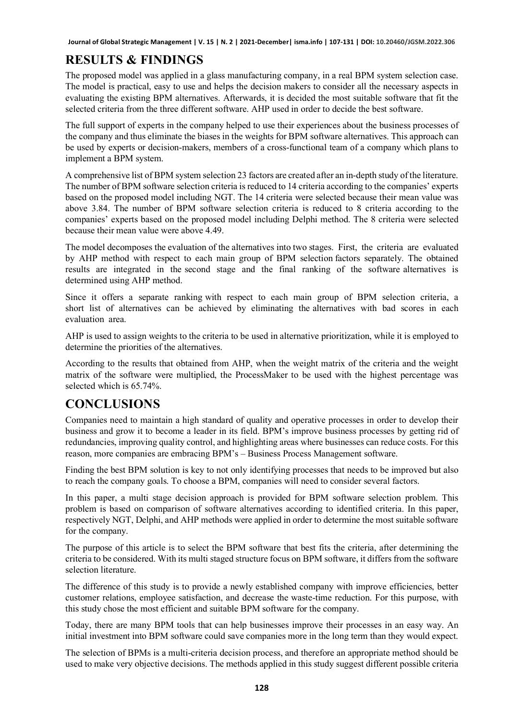# **RESULTS & FINDINGS**

The proposed model was applied in a glass manufacturing company, in a real BPM system selection case. The model is practical, easy to use and helps the decision makers to consider all the necessary aspects in evaluating the existing BPM alternatives. Afterwards, it is decided the most suitable software that fit the selected criteria from the three different software. AHP used in order to decide the best software.

The full support of experts in the company helped to use their experiences about the business processes of the company and thus eliminate the biases in the weights for BPM software alternatives. This approach can be used by experts or decision-makers, members of a cross-functional team of a company which plans to implement a BPM system.

A comprehensive list of BPM system selection 23 factors are created after an in-depth study of the literature. The number of BPM software selection criteria is reduced to 14 criteria according to the companies' experts based on the proposed model including NGT. The 14 criteria were selected because their mean value was above 3.84. The number of BPM software selection criteria is reduced to 8 criteria according to the companies' experts based on the proposed model including Delphi method. The 8 criteria were selected because their mean value were above 4.49.

The model decomposes the evaluation of the alternatives into two stages. First, the criteria are evaluated by AHP method with respect to each main group of BPM selection factors separately. The obtained results are integrated in the second stage and the final ranking of the software alternatives is determined using AHP method.

Since it offers a separate ranking with respect to each main group of BPM selection criteria, a short list of alternatives can be achieved by eliminating the alternatives with bad scores in each evaluation area.

AHP is used to assign weights to the criteria to be used in alternative prioritization, while it is employed to determine the priorities of the alternatives.

According to the results that obtained from AHP, when the weight matrix of the criteria and the weight matrix of the software were multiplied, the ProcessMaker to be used with the highest percentage was selected which is 65.74%.

### **CONCLUSIONS**

Companies need to maintain a high standard of quality and operative processes in order to develop their business and grow it to become a leader in its field. BPM's improve business processes by getting rid of redundancies, improving quality control, and highlighting areas where businesses can reduce costs. For this reason, more companies are embracing BPM's – Business Process Management software.

Finding the best BPM solution is key to not only identifying processes that needs to be improved but also to reach the company goals. To choose a BPM, companies will need to consider several factors.

In this paper, a multi stage decision approach is provided for BPM software selection problem. This problem is based on comparison of software alternatives according to identified criteria. In this paper, respectively NGT, Delphi, and AHP methods were applied in order to determine the most suitable software for the company.

The purpose of this article is to select the BPM software that best fits the criteria, after determining the criteria to be considered. With its multi staged structure focus on BPM software, it differs from the software selection literature.

The difference of this study is to provide a newly established company with improve efficiencies, better customer relations, employee satisfaction, and decrease the waste-time reduction. For this purpose, with this study chose the most efficient and suitable BPM software for the company.

Today, there are many BPM tools that can help businesses improve their processes in an easy way. An initial investment into BPM software could save companies more in the long term than they would expect.

The selection of BPMs is a multi-criteria decision process, and therefore an appropriate method should be used to make very objective decisions. The methods applied in this study suggest different possible criteria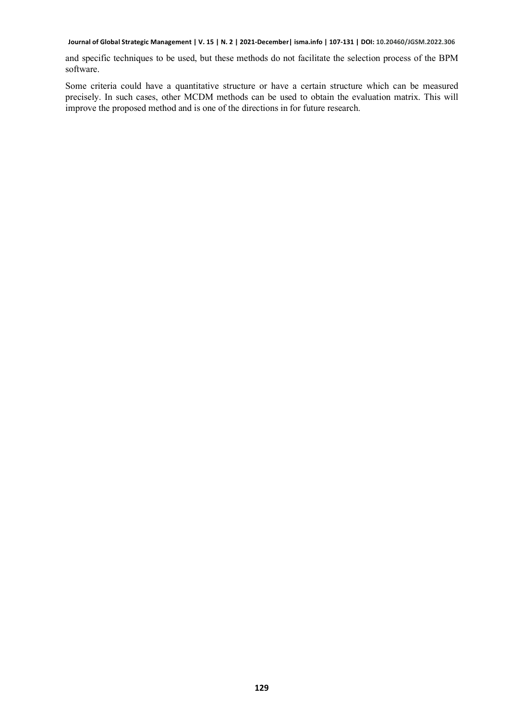and specific techniques to be used, but these methods do not facilitate the selection process of the BPM software.

Some criteria could have a quantitative structure or have a certain structure which can be measured precisely. In such cases, other MCDM methods can be used to obtain the evaluation matrix. This will improve the proposed method and is one of the directions in for future research.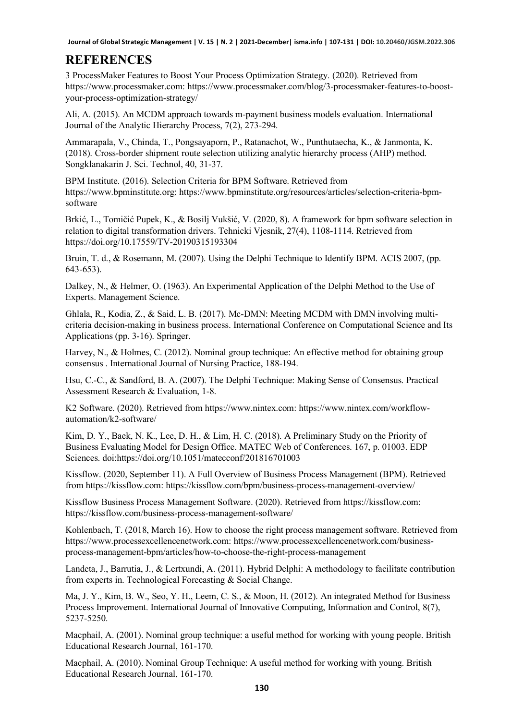#### **REFERENCES**

3 ProcessMaker Features to Boost Your Process Optimization Strategy. (2020). Retrieved from https://www.processmaker.com: https://www.processmaker.com/blog/3-processmaker-features-to-boostyour-process-optimization-strategy/

Ali, A. (2015). An MCDM approach towards m-payment business models evaluation. International Journal of the Analytic Hierarchy Process, 7(2), 273-294.

Ammarapala, V., Chinda, T., Pongsayaporn, P., Ratanachot, W., Punthutaecha, K., & Janmonta, K. (2018). Cross-border shipment route selection utilizing analytic hierarchy process (AHP) method. Songklanakarin J. Sci. Technol, 40, 31-37.

BPM Institute. (2016). Selection Criteria for BPM Software. Retrieved from https://www.bpminstitute.org: https://www.bpminstitute.org/resources/articles/selection-criteria-bpmsoftware

Brkić, L., Tomičić Pupek, K., & Bosilj Vukšić, V. (2020, 8). A framework for bpm software selection in relation to digital transformation drivers. Tehnicki Vjesnik, 27(4), 1108-1114. Retrieved from https://doi.org/10.17559/TV-20190315193304

Bruin, T. d., & Rosemann, M. (2007). Using the Delphi Technique to Identify BPM. ACIS 2007, (pp. 643-653).

Dalkey, N., & Helmer, O. (1963). An Experimental Application of the Delphi Method to the Use of Experts. Management Science.

Ghlala, R., Kodia, Z., & Said, L. B. (2017). Mc-DMN: Meeting MCDM with DMN involving multicriteria decision-making in business process. International Conference on Computational Science and Its Applications (pp. 3-16). Springer.

Harvey, N., & Holmes, C. (2012). Nominal group technique: An effective method for obtaining group consensus . International Journal of Nursing Practice, 188-194.

Hsu, C.-C., & Sandford, B. A. (2007). The Delphi Technique: Making Sense of Consensus. Practical Assessment Research & Evaluation, 1-8.

K2 Software. (2020). Retrieved from https://www.nintex.com: https://www.nintex.com/workflowautomation/k2-software/

Kim, D. Y., Baek, N. K., Lee, D. H., & Lim, H. C. (2018). A Preliminary Study on the Priority of Business Evaluating Model for Design Office. MATEC Web of Conferences. 167, p. 01003. EDP Sciences. doi:https://doi.org/10.1051/matecconf/201816701003

Kissflow. (2020, September 11). A Full Overview of Business Process Management (BPM). Retrieved from https://kissflow.com: https://kissflow.com/bpm/business-process-management-overview/

Kissflow Business Process Management Software. (2020). Retrieved from https://kissflow.com: https://kissflow.com/business-process-management-software/

Kohlenbach, T. (2018, March 16). How to choose the right process management software. Retrieved from https://www.processexcellencenetwork.com: https://www.processexcellencenetwork.com/businessprocess-management-bpm/articles/how-to-choose-the-right-process-management

Landeta, J., Barrutia, J., & Lertxundi, A. (2011). Hybrid Delphi: A methodology to facilitate contribution from experts in. Technological Forecasting & Social Change.

Ma, J. Y., Kim, B. W., Seo, Y. H., Leem, C. S., & Moon, H. (2012). An integrated Method for Business Process Improvement. International Journal of Innovative Computing, Information and Control, 8(7), 5237-5250.

Macphail, A. (2001). Nominal group technique: a useful method for working with young people. British Educational Research Journal, 161-170.

Macphail, A. (2010). Nominal Group Technique: A useful method for working with young. British Educational Research Journal, 161-170.